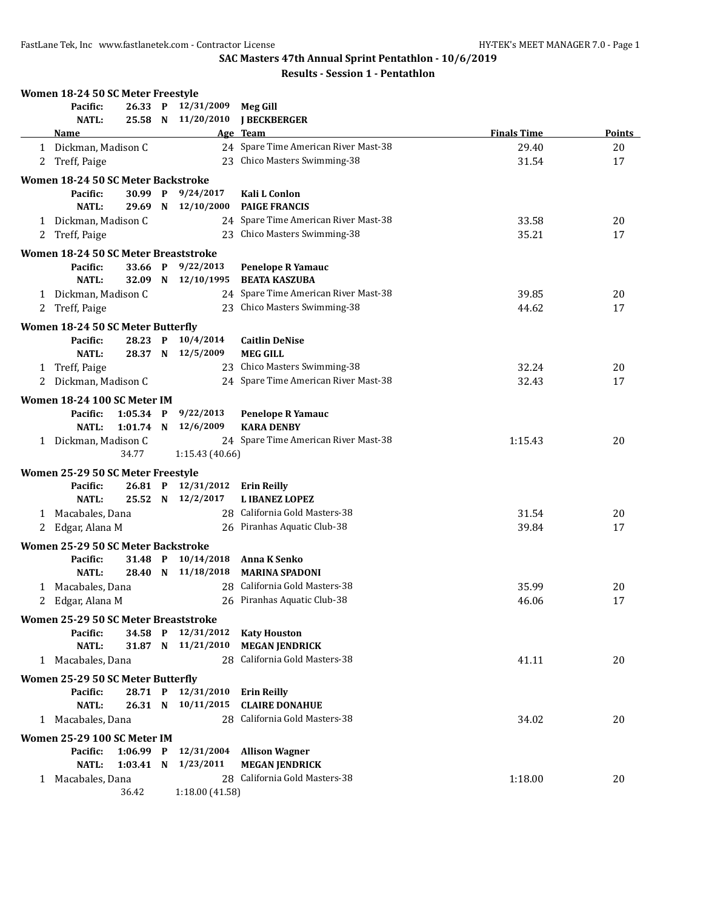|   | Women 18-24 50 SC Meter Freestyle    |             |                                          |                                              |                    |               |
|---|--------------------------------------|-------------|------------------------------------------|----------------------------------------------|--------------------|---------------|
|   | Pacific:                             |             | 26.33 P 12/31/2009                       | <b>Meg Gill</b>                              |                    |               |
|   | <b>NATL:</b>                         |             | 25.58 N 11/20/2010                       | <b>I BECKBERGER</b>                          |                    |               |
|   | <b>Name</b>                          |             |                                          | Age Team                                     | <b>Finals Time</b> | <b>Points</b> |
|   | 1 Dickman, Madison C                 |             |                                          | 24 Spare Time American River Mast-38         | 29.40              | 20            |
| 2 | Treff, Paige                         |             |                                          | 23 Chico Masters Swimming-38                 | 31.54              | 17            |
|   | Women 18-24 50 SC Meter Backstroke   |             |                                          |                                              |                    |               |
|   | Pacific:                             |             | 30.99 P 9/24/2017                        | Kali L Conlon                                |                    |               |
|   | <b>NATL:</b>                         | 29.69 N     | 12/10/2000                               | <b>PAIGE FRANCIS</b>                         |                    |               |
|   | 1 Dickman, Madison C                 |             |                                          | 24 Spare Time American River Mast-38         | 33.58              | 20            |
| 2 | Treff, Paige                         |             |                                          | 23 Chico Masters Swimming-38                 | 35.21              | 17            |
|   | Women 18-24 50 SC Meter Breaststroke |             |                                          |                                              |                    |               |
|   | Pacific:                             | 33.66 P     | 9/22/2013                                | <b>Penelope R Yamauc</b>                     |                    |               |
|   | <b>NATL:</b>                         | 32.09 N     | 12/10/1995                               | <b>BEATA KASZUBA</b>                         |                    |               |
|   | 1 Dickman, Madison C                 |             |                                          | 24 Spare Time American River Mast-38         | 39.85              | 20            |
| 2 | Treff, Paige                         |             |                                          | 23 Chico Masters Swimming-38                 | 44.62              | 17            |
|   |                                      |             |                                          |                                              |                    |               |
|   | Women 18-24 50 SC Meter Butterfly    |             |                                          |                                              |                    |               |
|   | Pacific:                             |             | 28.23 P 10/4/2014                        | <b>Caitlin DeNise</b>                        |                    |               |
|   | <b>NATL:</b>                         |             | 28.37 N 12/5/2009                        | <b>MEG GILL</b>                              |                    |               |
| 1 | Treff, Paige                         |             |                                          | 23 Chico Masters Swimming-38                 | 32.24              | 20            |
| 2 | Dickman, Madison C                   |             |                                          | 24 Spare Time American River Mast-38         | 32.43              | 17            |
|   | Women 18-24 100 SC Meter IM          |             |                                          |                                              |                    |               |
|   | Pacific:                             | $1:05.34$ P | 9/22/2013                                | <b>Penelope R Yamauc</b>                     |                    |               |
|   | NATL:                                | $1:01.74$ N | 12/6/2009                                | <b>KARA DENBY</b>                            |                    |               |
|   | 1 Dickman, Madison C                 |             |                                          | 24 Spare Time American River Mast-38         | 1:15.43            | 20            |
|   |                                      | 34.77       | 1:15.43 (40.66)                          |                                              |                    |               |
|   | Women 25-29 50 SC Meter Freestyle    |             |                                          |                                              |                    |               |
|   | Pacific:                             | 26.81 P     | 12/31/2012                               | <b>Erin Reilly</b>                           |                    |               |
|   | <b>NATL:</b>                         |             | 25.52 N 12/2/2017                        | <b>LIBANEZ LOPEZ</b>                         |                    |               |
|   | 1 Macabales, Dana                    |             |                                          | 28 California Gold Masters-38                | 31.54              | 20            |
| 2 | Edgar, Alana M                       |             |                                          | 26 Piranhas Aquatic Club-38                  | 39.84              | 17            |
|   | Women 25-29 50 SC Meter Backstroke   |             |                                          |                                              |                    |               |
|   | Pacific:                             | 31.48 P     | 10/14/2018                               | Anna K Senko                                 |                    |               |
|   | <b>NATL:</b>                         | 28.40 N     | 11/18/2018                               | <b>MARINA SPADONI</b>                        |                    |               |
|   | 1 Macabales, Dana                    |             |                                          | 28 California Gold Masters-38                | 35.99              | 20            |
|   | 2 Edgar, Alana M                     |             |                                          | 26 Piranhas Aquatic Club-38                  | 46.06              | $17\,$        |
|   |                                      |             |                                          |                                              |                    |               |
|   | Women 25-29 50 SC Meter Breaststroke |             |                                          |                                              |                    |               |
|   | Pacific:<br><b>NATL:</b>             |             | 34.58 P 12/31/2012<br>31.87 N 11/21/2010 | <b>Katy Houston</b><br><b>MEGAN JENDRICK</b> |                    |               |
|   | 1 Macabales, Dana                    |             |                                          | 28 California Gold Masters-38                | 41.11              | 20            |
|   |                                      |             |                                          |                                              |                    |               |
|   | Women 25-29 50 SC Meter Butterfly    |             |                                          |                                              |                    |               |
|   | Pacific:                             |             | 28.71 P 12/31/2010                       | <b>Erin Reilly</b>                           |                    |               |
|   | <b>NATL:</b>                         | 26.31 N     | 10/11/2015                               | <b>CLAIRE DONAHUE</b>                        |                    |               |
|   | 1 Macabales, Dana                    |             | 28                                       | California Gold Masters-38                   | 34.02              | 20            |
|   | Women 25-29 100 SC Meter IM          |             |                                          |                                              |                    |               |
|   | Pacific:                             | $1:06.99$ P | 12/31/2004                               | <b>Allison Wagner</b>                        |                    |               |
|   | <b>NATL:</b>                         | $1:03.41$ N | 1/23/2011                                | <b>MEGAN JENDRICK</b>                        |                    |               |
|   | 1 Macabales, Dana                    |             |                                          | 28 California Gold Masters-38                | 1:18.00            | 20            |
|   |                                      | 36.42       | 1:18.00 (41.58)                          |                                              |                    |               |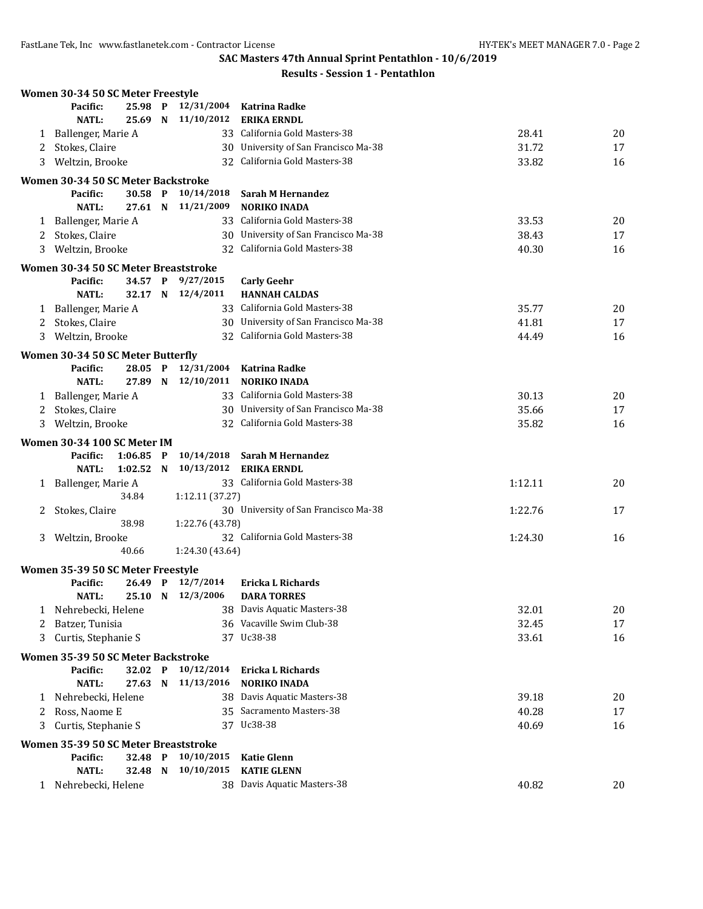| <b>Results - Session 1 - Pentathlon</b> |
|-----------------------------------------|
|-----------------------------------------|

|   | Women 30-34 50 SC Meter Freestyle    |             |                          |                                         |         |    |
|---|--------------------------------------|-------------|--------------------------|-----------------------------------------|---------|----|
|   | Pacific:<br>25.98 P                  |             | 12/31/2004               | <b>Katrina Radke</b>                    |         |    |
|   | <b>NATL:</b><br>25.69 N              |             | 11/10/2012               | <b>ERIKA ERNDL</b>                      |         |    |
| 1 | Ballenger, Marie A                   |             |                          | 33 California Gold Masters-38           | 28.41   | 20 |
| 2 | Stokes, Claire                       |             |                          | 30 University of San Francisco Ma-38    | 31.72   | 17 |
| 3 | Weltzin, Brooke                      |             |                          | 32 California Gold Masters-38           | 33.82   | 16 |
|   | Women 30-34 50 SC Meter Backstroke   |             |                          |                                         |         |    |
|   | Pacific:<br>30.58 P                  |             | 10/14/2018               | Sarah M Hernandez                       |         |    |
|   | <b>NATL:</b><br>27.61 N              |             | 11/21/2009               | <b>NORIKO INADA</b>                     |         |    |
| 1 | Ballenger, Marie A                   |             |                          | 33 California Gold Masters-38           | 33.53   | 20 |
| 2 | Stokes, Claire                       |             |                          | 30 University of San Francisco Ma-38    | 38.43   | 17 |
| 3 | Weltzin, Brooke                      |             |                          | 32 California Gold Masters-38           | 40.30   | 16 |
|   | Women 30-34 50 SC Meter Breaststroke |             |                          |                                         |         |    |
|   | Pacific:<br>34.57 P                  |             | 9/27/2015                | <b>Carly Geehr</b>                      |         |    |
|   | <b>NATL:</b><br>32.17 N              |             | 12/4/2011                | <b>HANNAH CALDAS</b>                    |         |    |
|   | 1 Ballenger, Marie A                 |             |                          | 33 California Gold Masters-38           | 35.77   | 20 |
| 2 | Stokes, Claire                       |             |                          | 30 University of San Francisco Ma-38    | 41.81   | 17 |
| 3 | Weltzin, Brooke                      |             |                          | 32 California Gold Masters-38           | 44.49   | 16 |
|   | Women 30-34 50 SC Meter Butterfly    |             |                          |                                         |         |    |
|   | Pacific:<br>28.05 P                  |             | 12/31/2004               | <b>Katrina Radke</b>                    |         |    |
|   | NATL:<br>27.89 N                     |             | 12/10/2011               | <b>NORIKO INADA</b>                     |         |    |
| 1 | Ballenger, Marie A                   |             |                          | 33 California Gold Masters-38           | 30.13   | 20 |
| 2 | Stokes, Claire                       |             |                          | 30 University of San Francisco Ma-38    | 35.66   | 17 |
| 3 | Weltzin, Brooke                      |             |                          | 32 California Gold Masters-38           | 35.82   | 16 |
|   |                                      |             |                          |                                         |         |    |
|   | Women 30-34 100 SC Meter IM          |             |                          |                                         |         |    |
|   | Pacific:<br>1:06.85<br><b>NATL:</b>  | $\mathbf P$ | 10/14/2018<br>10/13/2012 | Sarah M Hernandez<br><b>ERIKA ERNDL</b> |         |    |
|   | 1:02.52                              | N           |                          | 33 California Gold Masters-38           |         | 20 |
| 1 | Ballenger, Marie A<br>34.84          |             | 1:12.11 (37.27)          |                                         | 1:12.11 |    |
| 2 | Stokes, Claire                       |             |                          | 30 University of San Francisco Ma-38    | 1:22.76 | 17 |
|   | 38.98                                |             | 1:22.76 (43.78)          |                                         |         |    |
| 3 | Weltzin, Brooke                      |             |                          | 32 California Gold Masters-38           | 1:24.30 | 16 |
|   | 40.66                                |             | 1:24.30 (43.64)          |                                         |         |    |
|   |                                      |             |                          |                                         |         |    |
|   | Women 35-39 50 SC Meter Freestyle    |             |                          |                                         |         |    |
|   | Pacific:<br>26.49 P                  |             | 12/7/2014                | Ericka L Richards<br><b>DARA TORRES</b> |         |    |
|   | NATL:<br>25.10 N                     |             | 12/3/2006                | 38 Davis Aquatic Masters-38             |         |    |
| 1 | Nehrebecki, Helene                   |             |                          | 36 Vacaville Swim Club-38               | 32.01   | 20 |
| 2 | Batzer, Tunisia                      |             |                          | 37 Uc38-38                              | 32.45   | 17 |
| 3 | Curtis, Stephanie S                  |             |                          |                                         | 33.61   | 16 |
|   | Women 35-39 50 SC Meter Backstroke   |             |                          |                                         |         |    |
|   | 32.02 P<br>Pacific:                  |             | 10/12/2014               | Ericka L Richards                       |         |    |
|   | <b>NATL:</b><br>27.63 N              |             | 11/13/2016               | <b>NORIKO INADA</b>                     |         |    |
|   | 1 Nehrebecki, Helene                 |             |                          | 38 Davis Aquatic Masters-38             | 39.18   | 20 |
| 2 | Ross, Naome E                        |             |                          | 35 Sacramento Masters-38                | 40.28   | 17 |
| 3 | Curtis, Stephanie S                  |             |                          | 37 Uc38-38                              | 40.69   | 16 |
|   | Women 35-39 50 SC Meter Breaststroke |             |                          |                                         |         |    |
|   | Pacific:<br>32.48 P                  |             | 10/10/2015               | <b>Katie Glenn</b>                      |         |    |
|   | <b>NATL:</b><br>32.48 N              |             | 10/10/2015               | <b>KATIE GLENN</b>                      |         |    |
|   | 1 Nehrebecki, Helene                 |             |                          | 38 Davis Aquatic Masters-38             | 40.82   | 20 |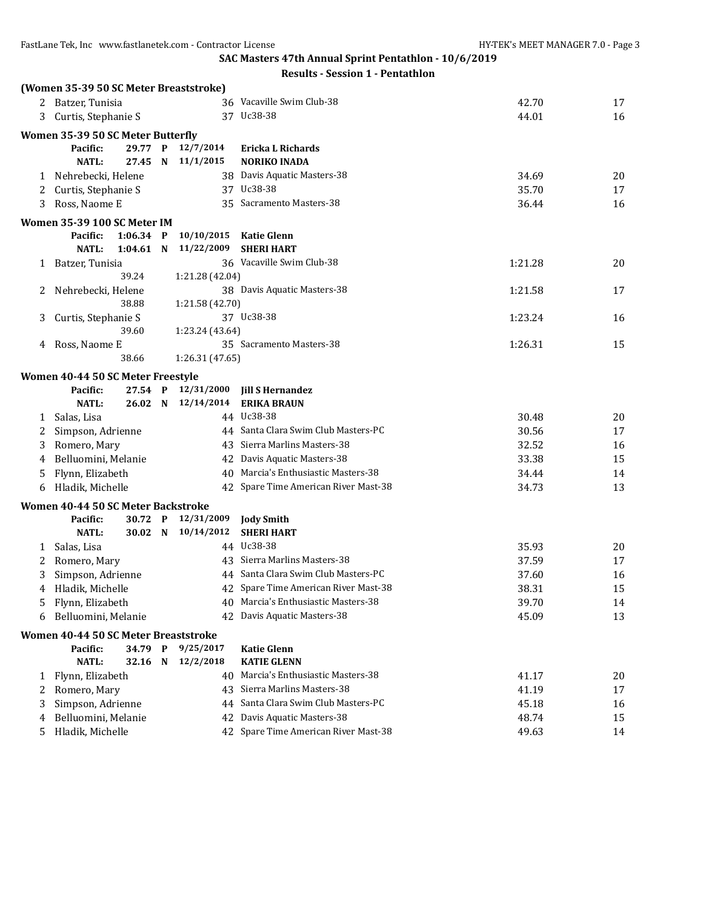|   | (Women 35-39 50 SC Meter Breaststroke) |             |   |                    |                                                                  |         |    |
|---|----------------------------------------|-------------|---|--------------------|------------------------------------------------------------------|---------|----|
|   | 2 Batzer, Tunisia                      |             |   |                    | 36 Vacaville Swim Club-38                                        | 42.70   | 17 |
| 3 | Curtis, Stephanie S                    |             |   |                    | 37 Uc38-38                                                       | 44.01   | 16 |
|   | Women 35-39 50 SC Meter Butterfly      |             |   |                    |                                                                  |         |    |
|   | Pacific:                               | 29.77 P     |   | 12/7/2014          | <b>Ericka L Richards</b>                                         |         |    |
|   | <b>NATL:</b>                           | 27.45 N     |   | 11/1/2015          | <b>NORIKO INADA</b>                                              |         |    |
|   | 1 Nehrebecki, Helene                   |             |   |                    | 38 Davis Aquatic Masters-38                                      | 34.69   | 20 |
| 2 | Curtis, Stephanie S                    |             |   |                    | 37 Uc38-38                                                       | 35.70   | 17 |
| 3 | Ross, Naome E                          |             |   |                    | 35 Sacramento Masters-38                                         | 36.44   | 16 |
|   | Women 35-39 100 SC Meter IM            |             |   |                    |                                                                  |         |    |
|   | Pacific:                               | $1:06.34$ P |   | 10/10/2015         | <b>Katie Glenn</b>                                               |         |    |
|   | <b>NATL:</b>                           | 1:04.61     | N | 11/22/2009         | <b>SHERI HART</b>                                                |         |    |
| 1 | Batzer, Tunisia                        |             |   |                    | 36 Vacaville Swim Club-38                                        | 1:21.28 | 20 |
|   |                                        | 39.24       |   | 1:21.28 (42.04)    |                                                                  |         |    |
| 2 | Nehrebecki, Helene                     |             |   |                    | 38 Davis Aquatic Masters-38                                      | 1:21.58 | 17 |
|   |                                        | 38.88       |   | 1:21.58 (42.70)    |                                                                  |         |    |
| 3 | Curtis, Stephanie S                    |             |   |                    | 37 Uc38-38                                                       | 1:23.24 | 16 |
|   |                                        | 39.60       |   | 1:23.24 (43.64)    |                                                                  |         |    |
| 4 | Ross, Naome E                          |             |   |                    | 35 Sacramento Masters-38                                         | 1:26.31 | 15 |
|   |                                        | 38.66       |   | 1:26.31 (47.65)    |                                                                  |         |    |
|   | Women 40-44 50 SC Meter Freestyle      |             |   |                    |                                                                  |         |    |
|   | Pacific:                               | $27.54$ P   |   | 12/31/2000         | <b>Jill S Hernandez</b>                                          |         |    |
|   | NATL:                                  |             |   | 26.02 N 12/14/2014 | <b>ERIKA BRAUN</b>                                               |         |    |
|   | 1 Salas, Lisa                          |             |   |                    | 44 Uc38-38                                                       | 30.48   | 20 |
| 2 | Simpson, Adrienne                      |             |   |                    | 44 Santa Clara Swim Club Masters-PC                              | 30.56   | 17 |
| 3 | Romero, Mary                           |             |   |                    | 43 Sierra Marlins Masters-38                                     | 32.52   | 16 |
| 4 | Belluomini, Melanie                    |             |   |                    | 42 Davis Aquatic Masters-38                                      | 33.38   | 15 |
| 5 | Flynn, Elizabeth                       |             |   |                    | 40 Marcia's Enthusiastic Masters-38                              | 34.44   | 14 |
| 6 | Hladik, Michelle                       |             |   |                    | 42 Spare Time American River Mast-38                             | 34.73   | 13 |
|   | Women 40-44 50 SC Meter Backstroke     |             |   |                    |                                                                  |         |    |
|   | Pacific:                               | 30.72 P     |   | 12/31/2009         | <b>Jody Smith</b>                                                |         |    |
|   | <b>NATL:</b>                           |             |   | 30.02 N 10/14/2012 | <b>SHERI HART</b>                                                |         |    |
| 1 | Salas, Lisa                            |             |   |                    | 44 Uc38-38                                                       | 35.93   | 20 |
| 2 | Romero, Mary                           |             |   |                    | 43 Sierra Marlins Masters-38                                     | 37.59   | 17 |
| 3 | Simpson, Adrienne                      |             |   |                    | 44 Santa Clara Swim Club Masters-PC                              | 37.60   | 16 |
| 4 | Hladik, Michelle                       |             |   |                    | 42 Spare Time American River Mast-38                             | 38.31   | 15 |
| 5 | Flynn, Elizabeth                       |             |   |                    | 40 Marcia's Enthusiastic Masters-38                              | 39.70   | 14 |
| 6 | Belluomini, Melanie                    |             |   |                    | 42 Davis Aquatic Masters-38                                      | 45.09   | 13 |
|   | Women 40-44 50 SC Meter Breaststroke   |             |   |                    |                                                                  |         |    |
|   | Pacific:                               | 34.79 P     |   | 9/25/2017          | <b>Katie Glenn</b>                                               |         |    |
|   | <b>NATL:</b>                           | 32.16 N     |   | 12/2/2018          | <b>KATIE GLENN</b>                                               |         |    |
| 1 | Flynn, Elizabeth                       |             |   |                    | 40 Marcia's Enthusiastic Masters-38                              | 41.17   | 20 |
| 2 | Romero, Mary                           |             |   |                    | 43 Sierra Marlins Masters-38<br>Santa Clara Swim Club Masters-PC | 41.19   | 17 |
| 3 | Simpson, Adrienne                      |             |   | 44                 |                                                                  | 45.18   | 16 |
| 4 | Belluomini, Melanie                    |             |   |                    | 42 Davis Aquatic Masters-38                                      | 48.74   | 15 |
| 5 | Hladik, Michelle                       |             |   |                    | 42 Spare Time American River Mast-38                             | 49.63   | 14 |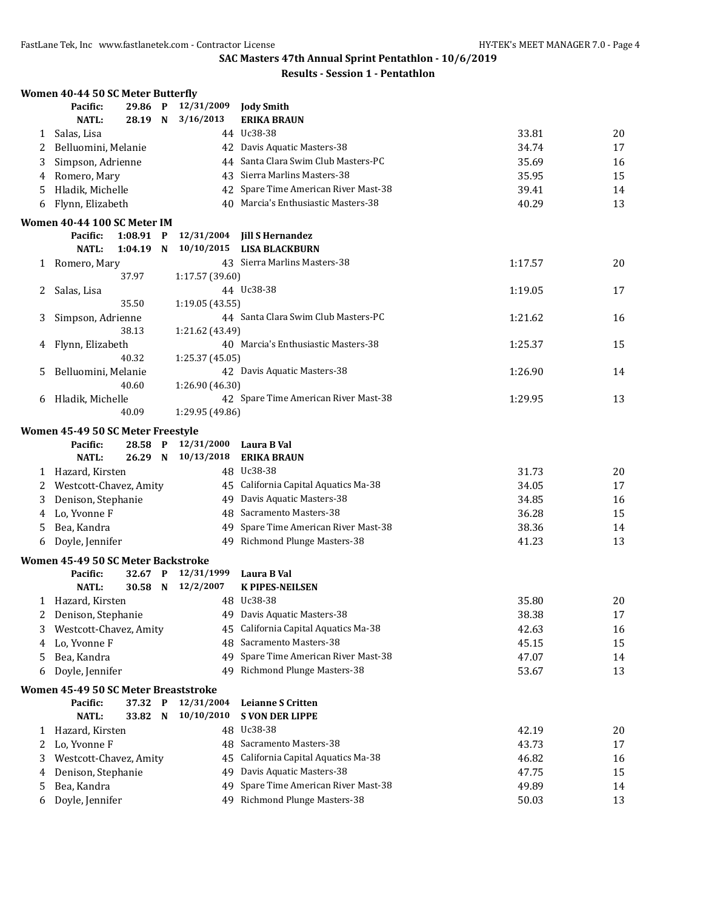|              | Women 40-44 50 SC Meter Butterfly    |                    |                 |                                                                 |                |          |
|--------------|--------------------------------------|--------------------|-----------------|-----------------------------------------------------------------|----------------|----------|
|              | Pacific:                             | 29.86 P            | 12/31/2009      | <b>Jody Smith</b>                                               |                |          |
|              | NATL:                                | 28.19 N            | 3/16/2013       | <b>ERIKA BRAUN</b>                                              |                |          |
| 1            | Salas, Lisa                          |                    |                 | 44 Uc38-38                                                      | 33.81          | 20       |
| 2            | Belluomini, Melanie                  |                    |                 | 42 Davis Aquatic Masters-38                                     | 34.74          | 17       |
| 3            | Simpson, Adrienne                    |                    |                 | 44 Santa Clara Swim Club Masters-PC                             | 35.69          | 16       |
| 4            | Romero, Mary                         |                    |                 | 43 Sierra Marlins Masters-38                                    | 35.95          | 15       |
| 5            | Hladik, Michelle                     |                    |                 | 42 Spare Time American River Mast-38                            | 39.41          | 14       |
| 6            | Flynn, Elizabeth                     |                    |                 | 40 Marcia's Enthusiastic Masters-38                             | 40.29          | 13       |
|              | Women 40-44 100 SC Meter IM          |                    |                 |                                                                 |                |          |
|              | Pacific:                             | $1:08.91$ P        | 12/31/2004      | <b>Jill S Hernandez</b>                                         |                |          |
|              | <b>NATL:</b>                         | $1:04.19$ N        | 10/10/2015      | <b>LISA BLACKBURN</b>                                           |                |          |
| $\mathbf{1}$ | Romero, Mary                         |                    |                 | 43 Sierra Marlins Masters-38                                    | 1:17.57        | 20       |
|              |                                      | 37.97              | 1:17.57 (39.60) |                                                                 |                |          |
| 2            | Salas, Lisa                          |                    |                 | 44 Uc38-38                                                      | 1:19.05        | 17       |
|              |                                      | 35.50              | 1:19.05 (43.55) |                                                                 |                |          |
| 3            | Simpson, Adrienne                    |                    |                 | 44 Santa Clara Swim Club Masters-PC                             | 1:21.62        | 16       |
|              |                                      | 38.13              | 1:21.62 (43.49) |                                                                 |                |          |
| 4            | Flynn, Elizabeth                     |                    |                 | 40 Marcia's Enthusiastic Masters-38                             | 1:25.37        | 15       |
|              |                                      | 40.32              | 1:25.37 (45.05) |                                                                 |                |          |
| 5            | Belluomini, Melanie                  |                    |                 | 42 Davis Aquatic Masters-38                                     | 1:26.90        | 14       |
|              |                                      | 40.60              | 1:26.90 (46.30) |                                                                 |                |          |
| 6            | Hladik, Michelle                     |                    |                 | 42 Spare Time American River Mast-38                            | 1:29.95        | 13       |
|              |                                      | 40.09              | 1:29.95 (49.86) |                                                                 |                |          |
|              | Women 45-49 50 SC Meter Freestyle    |                    |                 |                                                                 |                |          |
|              | Pacific:                             | 28.58 P            | 12/31/2000      | Laura B Val                                                     |                |          |
|              | NATL:                                | 26.29 N            | 10/13/2018      | <b>ERIKA BRAUN</b>                                              |                |          |
|              | 1 Hazard, Kirsten                    |                    |                 | 48 Uc38-38                                                      | 31.73          | 20       |
|              | 2 Westcott-Chavez, Amity             |                    |                 | 45 California Capital Aquatics Ma-38                            | 34.05          | 17       |
| 3            | Denison, Stephanie                   |                    |                 | 49 Davis Aquatic Masters-38                                     | 34.85          | 16       |
| 4            | Lo, Yvonne F                         |                    |                 | 48 Sacramento Masters-38                                        | 36.28          | 15       |
| 5            | Bea, Kandra                          |                    |                 | 49 Spare Time American River Mast-38                            | 38.36          | 14       |
| 6            | Doyle, Jennifer                      |                    | 49              | Richmond Plunge Masters-38                                      | 41.23          | 13       |
|              | Women 45-49 50 SC Meter Backstroke   |                    |                 |                                                                 |                |          |
|              | Pacific:                             | 32.67 P            | 12/31/1999      | Laura B Val                                                     |                |          |
|              | <b>NATL:</b>                         | 30.58 N            | 12/2/2007       | <b>K PIPES-NEILSEN</b>                                          |                |          |
|              | 1 Hazard, Kirsten                    |                    |                 | 48 Uc38-38                                                      | 35.80          | 20       |
|              | Denison, Stephanie                   |                    |                 | 49 Davis Aquatic Masters-38                                     | 38.38          | 17       |
| 3            | Westcott-Chavez, Amity               |                    | 45              | California Capital Aquatics Ma-38                               | 42.63          | 16       |
| 4            | Lo, Yvonne F                         |                    | 48              | Sacramento Masters-38                                           | 45.15          | 15       |
| 5            | Bea, Kandra                          |                    | 49              | Spare Time American River Mast-38                               | 47.07          | 14       |
| 6            | Doyle, Jennifer                      |                    |                 | 49 Richmond Plunge Masters-38                                   | 53.67          | 13       |
|              |                                      |                    |                 |                                                                 |                |          |
|              | Women 45-49 50 SC Meter Breaststroke |                    | 12/31/2004      | <b>Leianne S Critten</b>                                        |                |          |
|              | Pacific:<br><b>NATL:</b>             | 37.32 P<br>33.82 N | 10/10/2010      | <b>S VON DER LIPPE</b>                                          |                |          |
| 1            | Hazard, Kirsten                      |                    | 48              | Uc38-38                                                         | 42.19          | 20       |
| 2            | Lo, Yvonne F                         |                    | 48              | Sacramento Masters-38                                           | 43.73          | 17       |
|              | Westcott-Chavez, Amity               |                    | 45              | California Capital Aquatics Ma-38                               | 46.82          |          |
| 3            | Denison, Stephanie                   |                    | 49              | Davis Aquatic Masters-38                                        | 47.75          | 16<br>15 |
| 4<br>5       |                                      |                    |                 |                                                                 |                |          |
|              |                                      |                    |                 |                                                                 |                |          |
| 6            | Bea, Kandra<br>Doyle, Jennifer       |                    | 49<br>49        | Spare Time American River Mast-38<br>Richmond Plunge Masters-38 | 49.89<br>50.03 | 14<br>13 |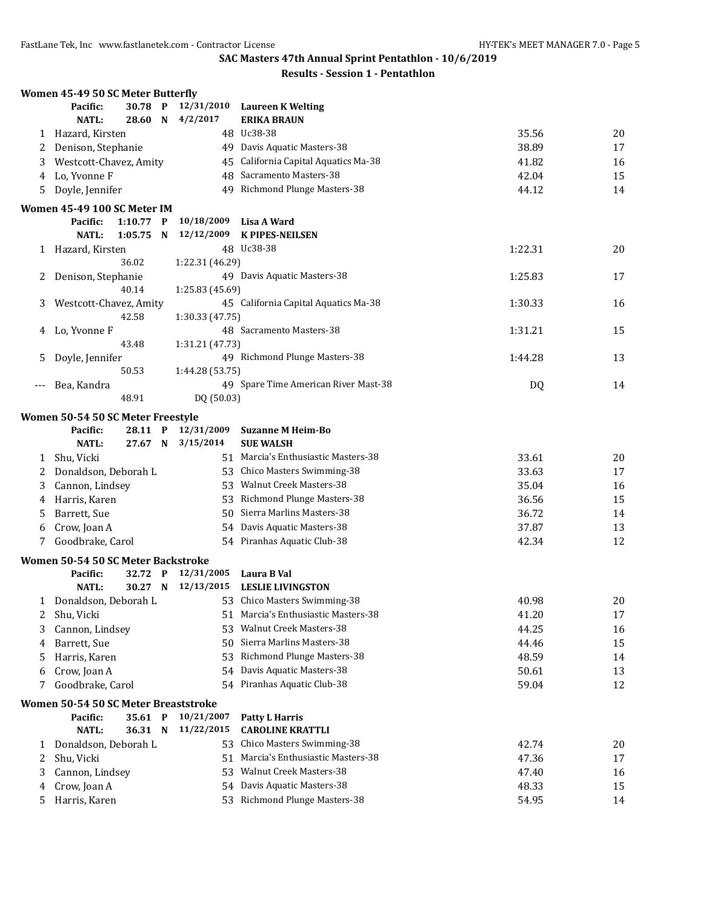|       | Women 45-49 50 SC Meter Butterfly    |                    |              |                          |                                         |         |          |
|-------|--------------------------------------|--------------------|--------------|--------------------------|-----------------------------------------|---------|----------|
|       | Pacific:                             | 30.78              | $\mathbf{P}$ | 12/31/2010               | Laureen K Welting                       |         |          |
|       | <b>NATL:</b>                         | 28.60              | N            | 4/2/2017                 | <b>ERIKA BRAUN</b>                      |         |          |
| 1     | Hazard, Kirsten                      |                    |              |                          | 48 Uc38-38                              | 35.56   | 20       |
| 2     | Denison, Stephanie                   |                    |              |                          | 49 Davis Aquatic Masters-38             | 38.89   | 17       |
| 3     | Westcott-Chavez, Amity               |                    |              |                          | 45 California Capital Aquatics Ma-38    | 41.82   | 16       |
| 4     | Lo, Yvonne F                         |                    |              |                          | 48 Sacramento Masters-38                | 42.04   | 15       |
| 5     | Doyle, Jennifer                      |                    |              |                          | 49 Richmond Plunge Masters-38           | 44.12   | 14       |
|       | Women 45-49 100 SC Meter IM          |                    |              |                          |                                         |         |          |
|       | Pacific:                             | $1:10.77$ P        |              | 10/18/2009               | Lisa A Ward                             |         |          |
|       | <b>NATL:</b>                         | 1:05.75            | N            | 12/12/2009               | <b>K PIPES-NEILSEN</b>                  |         |          |
|       | 1 Hazard, Kirsten                    |                    |              |                          | 48 Uc38-38                              | 1:22.31 | 20       |
|       |                                      | 36.02              |              | 1:22.31 (46.29)          |                                         |         |          |
| 2     | Denison, Stephanie                   |                    |              |                          | 49 Davis Aquatic Masters-38             | 1:25.83 | 17       |
|       |                                      | 40.14              |              | 1:25.83 (45.69)          |                                         |         |          |
| 3     | Westcott-Chavez, Amity               |                    |              |                          | 45 California Capital Aquatics Ma-38    | 1:30.33 | 16       |
|       |                                      | 42.58              |              | 1:30.33 (47.75)          |                                         |         |          |
| 4     | Lo, Yvonne F                         |                    |              |                          | 48 Sacramento Masters-38                | 1:31.21 | 15       |
|       |                                      | 43.48              |              | 1:31.21 (47.73)          |                                         |         |          |
| 5     | Doyle, Jennifer                      |                    |              |                          | 49 Richmond Plunge Masters-38           | 1:44.28 | 13       |
|       |                                      | 50.53              |              | 1:44.28 (53.75)          |                                         |         |          |
| $---$ | Bea, Kandra                          |                    |              |                          | 49 Spare Time American River Mast-38    | DQ      | 14       |
|       |                                      | 48.91              |              | DQ (50.03)               |                                         |         |          |
|       | Women 50-54 50 SC Meter Freestyle    |                    |              |                          |                                         |         |          |
|       | Pacific:                             | 28.11 P            |              | 12/31/2009               | <b>Suzanne M Heim-Bo</b>                |         |          |
|       | <b>NATL:</b>                         | 27.67 N            |              | 3/15/2014                | <b>SUE WALSH</b>                        |         |          |
|       | 1 Shu, Vicki                         |                    |              |                          | 51 Marcia's Enthusiastic Masters-38     | 33.61   | 20       |
| 2     | Donaldson, Deborah L                 |                    |              |                          | 53 Chico Masters Swimming-38            | 33.63   | 17       |
| 3     | Cannon, Lindsey                      |                    |              |                          | 53 Walnut Creek Masters-38              | 35.04   | 16       |
| 4     | Harris, Karen                        |                    |              |                          | 53 Richmond Plunge Masters-38           | 36.56   | 15       |
| 5     | Barrett, Sue                         |                    |              |                          | 50 Sierra Marlins Masters-38            | 36.72   | 14       |
| 6     | Crow, Joan A                         |                    |              |                          | 54 Davis Aquatic Masters-38             | 37.87   | 13       |
| 7     | Goodbrake, Carol                     |                    |              |                          | 54 Piranhas Aquatic Club-38             | 42.34   | 12       |
|       |                                      |                    |              |                          |                                         |         |          |
|       | Women 50-54 50 SC Meter Backstroke   |                    |              |                          |                                         |         |          |
|       | Pacific:<br><b>NATL:</b>             | 32.72 P<br>30.27 N |              | 12/31/2005<br>12/13/2015 | Laura B Val<br><b>LESLIE LIVINGSTON</b> |         |          |
|       |                                      |                    |              |                          | 53 Chico Masters Swimming-38            |         |          |
|       | 1 Donaldson, Deborah L               |                    |              |                          | 51 Marcia's Enthusiastic Masters-38     | 40.98   | 20<br>17 |
| 2     | Shu, Vicki                           |                    |              |                          | 53 Walnut Creek Masters-38              | 41.20   |          |
| 3     | Cannon, Lindsey                      |                    |              |                          | 50 Sierra Marlins Masters-38            | 44.25   | 16       |
| 4     | Barrett, Sue                         |                    |              |                          |                                         | 44.46   | 15       |
| 5     | Harris, Karen                        |                    |              |                          | 53 Richmond Plunge Masters-38           | 48.59   | 14       |
| 6     | Crow, Joan A                         |                    |              |                          | 54 Davis Aquatic Masters-38             | 50.61   | 13       |
| 7     | Goodbrake, Carol                     |                    |              |                          | 54 Piranhas Aquatic Club-38             | 59.04   | 12       |
|       | Women 50-54 50 SC Meter Breaststroke |                    |              |                          |                                         |         |          |
|       | Pacific:                             | 35.61 P            |              | 10/21/2007               | <b>Patty L Harris</b>                   |         |          |
|       | <b>NATL:</b>                         | 36.31 N            |              | 11/22/2015               | <b>CAROLINE KRATTLI</b>                 |         |          |
| 1     | Donaldson, Deborah L                 |                    |              |                          | 53 Chico Masters Swimming-38            | 42.74   | 20       |
| 2     | Shu, Vicki                           |                    |              |                          | 51 Marcia's Enthusiastic Masters-38     | 47.36   | 17       |
| 3     | Cannon, Lindsey                      |                    |              |                          | 53 Walnut Creek Masters-38              | 47.40   | 16       |
| 4     | Crow, Joan A                         |                    |              |                          | 54 Davis Aquatic Masters-38             | 48.33   | 15       |
| 5.    | Harris, Karen                        |                    |              |                          | 53 Richmond Plunge Masters-38           | 54.95   | 14       |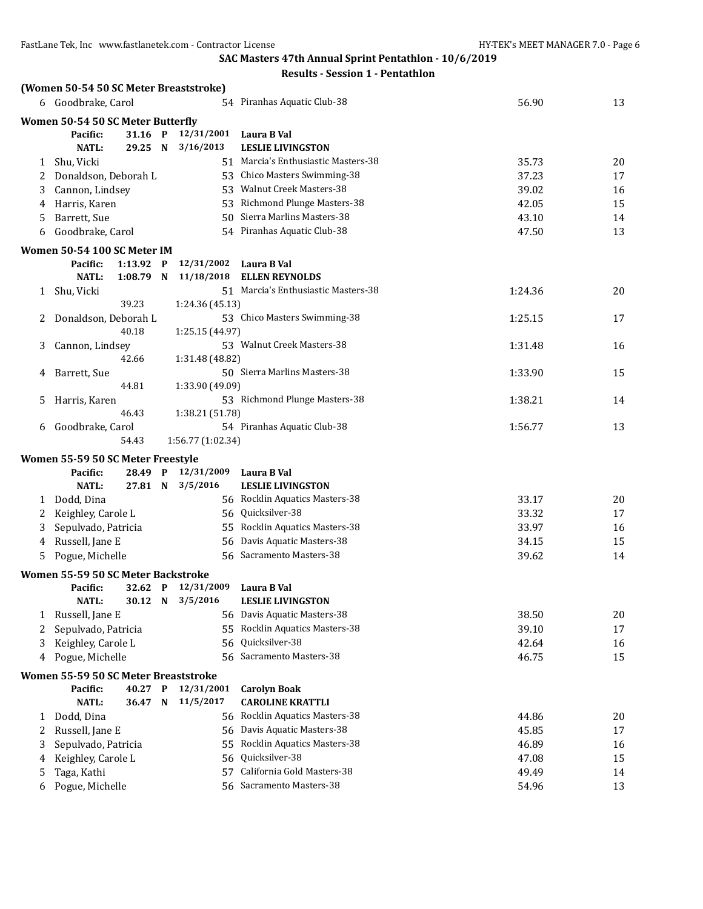|              | (Women 50-54 50 SC Meter Breaststroke) |             |                    |                                     |         |    |
|--------------|----------------------------------------|-------------|--------------------|-------------------------------------|---------|----|
|              | 6 Goodbrake, Carol                     |             |                    | 54 Piranhas Aquatic Club-38         | 56.90   | 13 |
|              | Women 50-54 50 SC Meter Butterfly      |             |                    |                                     |         |    |
|              | Pacific:                               | 31.16 P     | 12/31/2001         | Laura B Val                         |         |    |
|              | <b>NATL:</b>                           | 29.25 N     | 3/16/2013          | <b>LESLIE LIVINGSTON</b>            |         |    |
| 1            | Shu, Vicki                             |             |                    | 51 Marcia's Enthusiastic Masters-38 | 35.73   | 20 |
| 2            | Donaldson, Deborah L                   |             |                    | 53 Chico Masters Swimming-38        | 37.23   | 17 |
| 3            | Cannon, Lindsey                        |             |                    | 53 Walnut Creek Masters-38          | 39.02   | 16 |
| 4            | Harris, Karen                          |             |                    | 53 Richmond Plunge Masters-38       | 42.05   | 15 |
| 5            | Barrett, Sue                           |             |                    | 50 Sierra Marlins Masters-38        | 43.10   | 14 |
| 6            | Goodbrake, Carol                       |             |                    | 54 Piranhas Aquatic Club-38         | 47.50   | 13 |
|              | Women 50-54 100 SC Meter IM            |             |                    |                                     |         |    |
|              | Pacific:                               | 1:13.92 P   | 12/31/2002         | Laura B Val                         |         |    |
|              | <b>NATL:</b>                           | $1:08.79$ N | 11/18/2018         | <b>ELLEN REYNOLDS</b>               |         |    |
| $\mathbf{1}$ | Shu, Vicki                             |             |                    | 51 Marcia's Enthusiastic Masters-38 | 1:24.36 | 20 |
|              |                                        | 39.23       | 1:24.36 (45.13)    |                                     |         |    |
| 2            | Donaldson, Deborah L                   |             |                    | 53 Chico Masters Swimming-38        | 1:25.15 | 17 |
|              |                                        | 40.18       | 1:25.15 (44.97)    |                                     |         |    |
| 3            | Cannon, Lindsey                        |             |                    | 53 Walnut Creek Masters-38          | 1:31.48 | 16 |
|              |                                        | 42.66       | 1:31.48 (48.82)    |                                     |         |    |
| 4            | Barrett, Sue                           |             |                    | 50 Sierra Marlins Masters-38        | 1:33.90 | 15 |
|              |                                        | 44.81       | 1:33.90 (49.09)    |                                     |         |    |
| 5.           | Harris, Karen                          |             |                    | 53 Richmond Plunge Masters-38       | 1:38.21 | 14 |
|              |                                        | 46.43       | 1:38.21 (51.78)    |                                     |         |    |
| 6            | Goodbrake, Carol                       |             |                    | 54 Piranhas Aquatic Club-38         | 1:56.77 | 13 |
|              |                                        | 54.43       | 1:56.77 (1:02.34)  |                                     |         |    |
|              | Women 55-59 50 SC Meter Freestyle      |             |                    |                                     |         |    |
|              | Pacific:                               | 28.49 P     | 12/31/2009         | Laura B Val                         |         |    |
|              | <b>NATL:</b>                           | 27.81 N     | 3/5/2016           | <b>LESLIE LIVINGSTON</b>            |         |    |
| 1            | Dodd, Dina                             |             |                    | 56 Rocklin Aquatics Masters-38      | 33.17   | 20 |
| 2            | Keighley, Carole L                     |             |                    | 56 Quicksilver-38                   | 33.32   | 17 |
| 3            | Sepulvado, Patricia                    |             |                    | 55 Rocklin Aquatics Masters-38      | 33.97   | 16 |
| 4            | Russell, Jane E                        |             |                    | 56 Davis Aquatic Masters-38         | 34.15   | 15 |
|              | Pogue, Michelle                        |             |                    | 56 Sacramento Masters-38            | 39.62   | 14 |
|              | Women 55-59 50 SC Meter Backstroke     |             |                    |                                     |         |    |
|              | Pacific:                               |             | 32.62 P 12/31/2009 | Laura B Val                         |         |    |
|              | <b>NATL:</b>                           | 30.12 N     | 3/5/2016           | <b>LESLIE LIVINGSTON</b>            |         |    |
| 1            | Russell, Jane E                        |             |                    | 56 Davis Aquatic Masters-38         | 38.50   | 20 |
| 2            | Sepulvado, Patricia                    |             |                    | 55 Rocklin Aquatics Masters-38      | 39.10   | 17 |
| 3            | Keighley, Carole L                     |             | 56                 | Quicksilver-38                      | 42.64   | 16 |
| 4            | Pogue, Michelle                        |             |                    | 56 Sacramento Masters-38            | 46.75   | 15 |
|              | Women 55-59 50 SC Meter Breaststroke   |             |                    |                                     |         |    |
|              | Pacific:                               | 40.27 P     | 12/31/2001         | <b>Carolyn Boak</b>                 |         |    |
|              | <b>NATL:</b>                           | 36.47 N     | 11/5/2017          | <b>CAROLINE KRATTLI</b>             |         |    |
| 1            | Dodd, Dina                             |             |                    | 56 Rocklin Aquatics Masters-38      | 44.86   | 20 |
| 2            | Russell, Jane E                        |             |                    | 56 Davis Aquatic Masters-38         | 45.85   | 17 |
| 3            | Sepulvado, Patricia                    |             | 55                 | Rocklin Aquatics Masters-38         | 46.89   | 16 |
| 4            | Keighley, Carole L                     |             | 56                 | Quicksilver-38                      | 47.08   | 15 |
| 5            | Taga, Kathi                            |             | 57                 | California Gold Masters-38          | 49.49   | 14 |
| 6            | Pogue, Michelle                        |             |                    | 56 Sacramento Masters-38            | 54.96   | 13 |
|              |                                        |             |                    |                                     |         |    |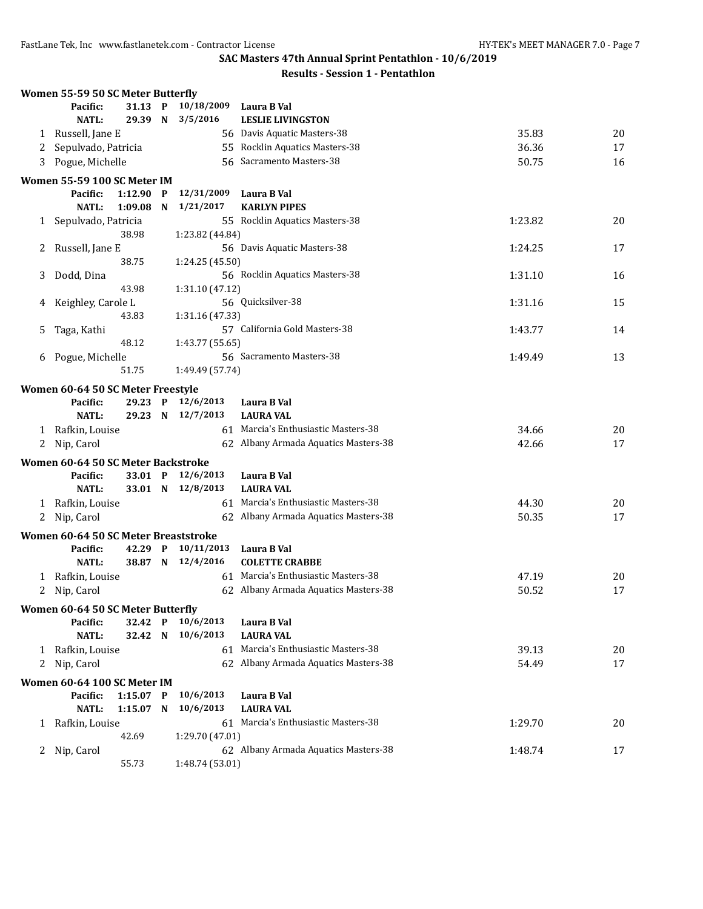|   | Women 55-59 50 SC Meter Butterfly    |             |              |                   |                                      |         |    |
|---|--------------------------------------|-------------|--------------|-------------------|--------------------------------------|---------|----|
|   | Pacific:                             | 31.13       | P            | 10/18/2009        | Laura B Val                          |         |    |
|   | <b>NATL:</b>                         | 29.39 N     |              | 3/5/2016          | <b>LESLIE LIVINGSTON</b>             |         |    |
| 1 | Russell, Jane E                      |             |              |                   | 56 Davis Aquatic Masters-38          | 35.83   | 20 |
| 2 | Sepulvado, Patricia                  |             |              |                   | 55 Rocklin Aquatics Masters-38       | 36.36   | 17 |
| 3 | Pogue, Michelle                      |             |              |                   | 56 Sacramento Masters-38             | 50.75   | 16 |
|   | Women 55-59 100 SC Meter IM          |             |              |                   |                                      |         |    |
|   | Pacific:                             | 1:12.90     | $\mathbf{P}$ | 12/31/2009        | Laura B Val                          |         |    |
|   | <b>NATL:</b>                         | 1:09.08     | N            | 1/21/2017         | <b>KARLYN PIPES</b>                  |         |    |
|   |                                      |             |              |                   | 55 Rocklin Aquatics Masters-38       | 1:23.82 | 20 |
| 1 | Sepulvado, Patricia                  | 38.98       |              | 1:23.82 (44.84)   |                                      |         |    |
|   |                                      |             |              |                   | 56 Davis Aquatic Masters-38          | 1:24.25 | 17 |
| 2 | Russell, Jane E                      | 38.75       |              | 1:24.25 (45.50)   |                                      |         |    |
|   |                                      |             |              |                   | 56 Rocklin Aquatics Masters-38       |         |    |
| 3 | Dodd, Dina                           |             |              |                   |                                      | 1:31.10 | 16 |
|   |                                      | 43.98       |              | 1:31.10 (47.12)   | 56 Quicksilver-38                    |         |    |
| 4 | Keighley, Carole L                   |             |              |                   |                                      | 1:31.16 | 15 |
|   |                                      | 43.83       |              | 1:31.16 (47.33)   |                                      |         |    |
| 5 | Taga, Kathi                          |             |              |                   | 57 California Gold Masters-38        | 1:43.77 | 14 |
|   |                                      | 48.12       |              | 1:43.77 (55.65)   |                                      |         |    |
| 6 | Pogue, Michelle                      |             |              |                   | 56 Sacramento Masters-38             | 1:49.49 | 13 |
|   |                                      | 51.75       |              | 1:49.49 (57.74)   |                                      |         |    |
|   | Women 60-64 50 SC Meter Freestyle    |             |              |                   |                                      |         |    |
|   | Pacific:                             | 29.23       | $\mathbf{P}$ | 12/6/2013         | Laura B Val                          |         |    |
|   | <b>NATL:</b>                         | 29.23 N     |              | 12/7/2013         | <b>LAURA VAL</b>                     |         |    |
| 1 | Rafkin, Louise                       |             |              |                   | 61 Marcia's Enthusiastic Masters-38  | 34.66   | 20 |
|   | 2 Nip, Carol                         |             |              |                   | 62 Albany Armada Aquatics Masters-38 | 42.66   | 17 |
|   | Women 60-64 50 SC Meter Backstroke   |             |              |                   |                                      |         |    |
|   | Pacific:                             | 33.01 P     |              | 12/6/2013         | Laura B Val                          |         |    |
|   | <b>NATL:</b>                         | 33.01 N     |              | 12/8/2013         | <b>LAURA VAL</b>                     |         |    |
|   | 1 Rafkin, Louise                     |             |              |                   | 61 Marcia's Enthusiastic Masters-38  | 44.30   | 20 |
|   | 2 Nip, Carol                         |             |              |                   | 62 Albany Armada Aquatics Masters-38 | 50.35   | 17 |
|   |                                      |             |              |                   |                                      |         |    |
|   | Women 60-64 50 SC Meter Breaststroke |             |              |                   |                                      |         |    |
|   | Pacific:                             | 42.29       | $\mathbf{P}$ | 10/11/2013        | Laura B Val                          |         |    |
|   | <b>NATL:</b>                         |             |              | 38.87 N 12/4/2016 | <b>COLETTE CRABBE</b>                |         |    |
| 1 | Rafkin, Louise                       |             |              |                   | 61 Marcia's Enthusiastic Masters-38  | 47.19   | 20 |
| 2 | Nip, Carol                           |             |              |                   | 62 Albany Armada Aquatics Masters-38 | 50.52   | 17 |
|   | Women 60-64 50 SC Meter Butterfly    |             |              |                   |                                      |         |    |
|   | Pacific:                             | 32.42       | P            | 10/6/2013         | Laura B Val                          |         |    |
|   | <b>NATL:</b>                         | 32.42 N     |              | 10/6/2013         | <b>LAURA VAL</b>                     |         |    |
| 1 | Rafkin, Louise                       |             |              |                   | 61 Marcia's Enthusiastic Masters-38  | 39.13   | 20 |
|   | 2 Nip, Carol                         |             |              |                   | 62 Albany Armada Aquatics Masters-38 | 54.49   | 17 |
|   |                                      |             |              |                   |                                      |         |    |
|   | Women 60-64 100 SC Meter IM          |             |              |                   |                                      |         |    |
|   | Pacific:                             | $1:15.07$ P |              | 10/6/2013         | Laura B Val                          |         |    |
|   | <b>NATL:</b>                         | $1:15.07$ N |              | 10/6/2013         | <b>LAURA VAL</b>                     |         |    |
| 1 | Rafkin, Louise                       |             |              |                   | 61 Marcia's Enthusiastic Masters-38  | 1:29.70 | 20 |
|   |                                      | 42.69       |              | 1:29.70 (47.01)   |                                      |         |    |
|   | 2 Nip, Carol                         |             |              |                   | 62 Albany Armada Aquatics Masters-38 | 1:48.74 | 17 |
|   |                                      | 55.73       |              | 1:48.74 (53.01)   |                                      |         |    |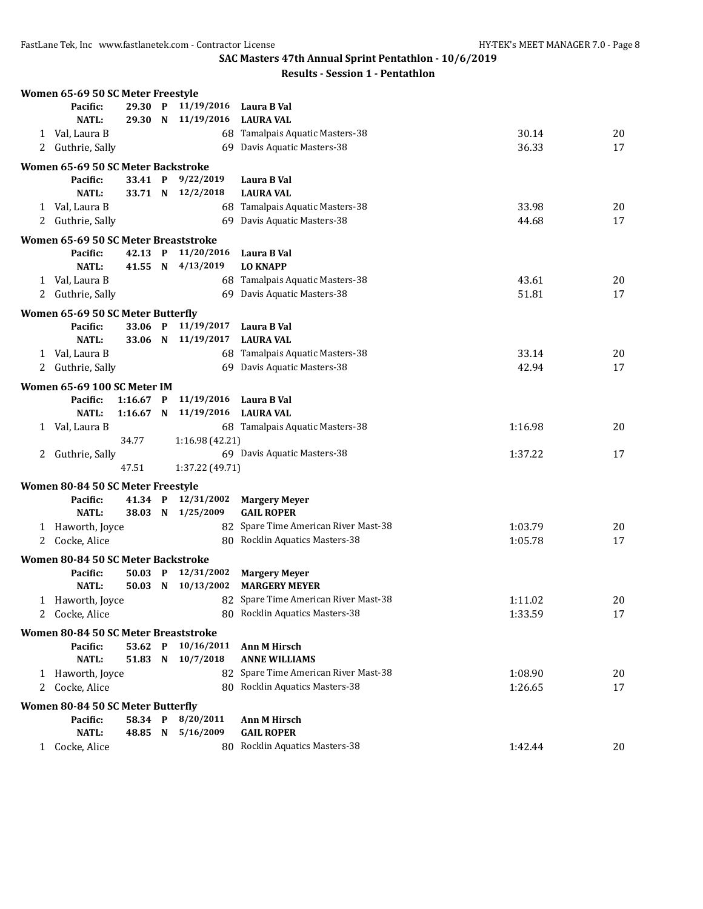FastLane Tek, Inc www.fastlanetek.com - Contractor License HY-TEK's MEET MANAGER 7.0 - Page 8

**SAC Masters 47th Annual Sprint Pentathlon - 10/6/2019**

|   | Women 65-69 50 SC Meter Freestyle             |                    |                        |                                          |         |    |
|---|-----------------------------------------------|--------------------|------------------------|------------------------------------------|---------|----|
|   | Pacific:                                      | 29.30 P            | 11/19/2016 Laura B Val |                                          |         |    |
|   | <b>NATL:</b>                                  |                    | 29.30 N 11/19/2016     | <b>LAURA VAL</b>                         |         |    |
|   | 1 Val, Laura B                                |                    |                        | 68 Tamalpais Aquatic Masters-38          | 30.14   | 20 |
|   | 2 Guthrie, Sally                              |                    |                        | 69 Davis Aquatic Masters-38              | 36.33   | 17 |
|   | Women 65-69 50 SC Meter Backstroke            |                    |                        |                                          |         |    |
|   | Pacific:                                      | 33.41 P            | 9/22/2019              | Laura B Val                              |         |    |
|   | <b>NATL:</b>                                  | 33.71 N            | 12/2/2018              | <b>LAURA VAL</b>                         |         |    |
|   | 1 Val, Laura B                                |                    |                        | 68 Tamalpais Aquatic Masters-38          | 33.98   | 20 |
|   | 2 Guthrie, Sally                              |                    |                        | 69 Davis Aquatic Masters-38              | 44.68   | 17 |
|   |                                               |                    |                        |                                          |         |    |
|   | Women 65-69 50 SC Meter Breaststroke          |                    |                        |                                          |         |    |
|   | Pacific:                                      | 42.13 P            | 11/20/2016             | Laura B Val                              |         |    |
|   | <b>NATL:</b>                                  | 41.55 N            | 4/13/2019              | <b>LO KNAPP</b>                          |         |    |
|   | 1 Val, Laura B                                |                    |                        | 68 Tamalpais Aquatic Masters-38          | 43.61   | 20 |
|   | 2 Guthrie, Sally                              |                    |                        | 69 Davis Aquatic Masters-38              | 51.81   | 17 |
|   | Women 65-69 50 SC Meter Butterfly             |                    |                        |                                          |         |    |
|   | Pacific:                                      | 33.06 P            | 11/19/2017             | Laura B Val                              |         |    |
|   | NATL:                                         | 33.06 N            | 11/19/2017             | <b>LAURA VAL</b>                         |         |    |
|   | 1 Val, Laura B                                |                    |                        | 68 Tamalpais Aquatic Masters-38          | 33.14   | 20 |
|   | 2 Guthrie, Sally                              |                    |                        | 69 Davis Aquatic Masters-38              | 42.94   | 17 |
|   | Women 65-69 100 SC Meter IM                   |                    |                        |                                          |         |    |
|   | Pacific:                                      | $1:16.67$ P        | 11/19/2016             | Laura B Val                              |         |    |
|   | <b>NATL:</b>                                  | $1:16.67$ N        | 11/19/2016             | <b>LAURA VAL</b>                         |         |    |
|   | 1 Val, Laura B                                |                    |                        | 68 Tamalpais Aquatic Masters-38          | 1:16.98 | 20 |
|   |                                               | 34.77              | 1:16.98 (42.21)        |                                          |         |    |
| 2 | Guthrie, Sally                                |                    |                        | 69 Davis Aquatic Masters-38              | 1:37.22 | 17 |
|   |                                               | 47.51              | 1:37.22 (49.71)        |                                          |         |    |
|   |                                               |                    |                        |                                          |         |    |
|   | Women 80-84 50 SC Meter Freestyle<br>Pacific: | 41.34 P            | 12/31/2002             | <b>Margery Meyer</b>                     |         |    |
|   | <b>NATL:</b>                                  | 38.03 N            | 1/25/2009              | <b>GAIL ROPER</b>                        |         |    |
|   | 1 Haworth, Joyce                              |                    |                        | 82 Spare Time American River Mast-38     | 1:03.79 | 20 |
|   | 2 Cocke, Alice                                |                    |                        | 80 Rocklin Aquatics Masters-38           | 1:05.78 | 17 |
|   |                                               |                    |                        |                                          |         |    |
|   | Women 80-84 50 SC Meter Backstroke            |                    |                        |                                          |         |    |
|   | Pacific:                                      | 50.03 P            | 12/31/2002             | <b>Margery Meyer</b>                     |         |    |
|   | <b>NATL:</b>                                  | 50.03 N            | 10/13/2002             | <b>MARGERY MEYER</b>                     |         |    |
|   | 1 Haworth, Joyce                              |                    |                        | 82 Spare Time American River Mast-38     | 1:11.02 | 20 |
|   | 2 Cocke, Alice                                |                    |                        | 80 Rocklin Aquatics Masters-38           | 1:33.59 | 17 |
|   | Women 80-84 50 SC Meter Breaststroke          |                    |                        |                                          |         |    |
|   | Pacific:                                      | 53.62 P            | 10/16/2011             | <b>Ann M Hirsch</b>                      |         |    |
|   | <b>NATL:</b>                                  | 51.83 N            | 10/7/2018              | <b>ANNE WILLIAMS</b>                     |         |    |
|   | 1 Haworth, Joyce                              |                    |                        | 82 Spare Time American River Mast-38     | 1:08.90 | 20 |
|   | 2 Cocke, Alice                                |                    |                        | 80 Rocklin Aquatics Masters-38           | 1:26.65 | 17 |
|   |                                               |                    |                        |                                          |         |    |
|   | Women 80-84 50 SC Meter Butterfly             |                    | 8/20/2011              |                                          |         |    |
|   | Pacific:<br><b>NATL:</b>                      | 58.34 P<br>48.85 N | 5/16/2009              | <b>Ann M Hirsch</b><br><b>GAIL ROPER</b> |         |    |
|   | Cocke, Alice                                  |                    |                        | 80 Rocklin Aquatics Masters-38           | 1:42.44 | 20 |
| 1 |                                               |                    |                        |                                          |         |    |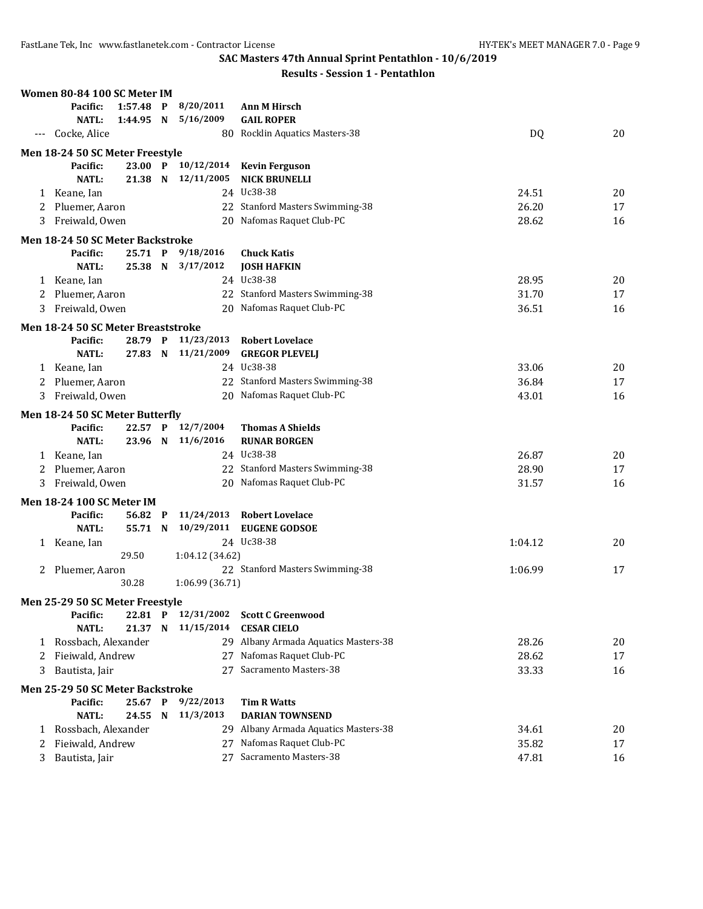|   | Women 80-84 100 SC Meter IM        |             |                    |                                      |         |    |
|---|------------------------------------|-------------|--------------------|--------------------------------------|---------|----|
|   | Pacific:                           | $1:57.48$ P | 8/20/2011          | <b>Ann M Hirsch</b>                  |         |    |
|   | <b>NATL:</b>                       | 1:44.95 N   | 5/16/2009          | <b>GAIL ROPER</b>                    |         |    |
|   | Cocke, Alice                       |             |                    | 80 Rocklin Aquatics Masters-38       | DQ      | 20 |
|   | Men 18-24 50 SC Meter Freestyle    |             |                    |                                      |         |    |
|   | Pacific:                           |             | 23.00 P 10/12/2014 | <b>Kevin Ferguson</b>                |         |    |
|   | NATL:                              | 21.38 N     | 12/11/2005         | <b>NICK BRUNELLI</b>                 |         |    |
|   | 1 Keane, Ian                       |             |                    | 24 Uc38-38                           | 24.51   | 20 |
| 2 | Pluemer, Aaron                     |             |                    | 22 Stanford Masters Swimming-38      | 26.20   | 17 |
| 3 | Freiwald, Owen                     |             |                    | 20 Nafomas Raquet Club-PC            | 28.62   | 16 |
|   | Men 18-24 50 SC Meter Backstroke   |             |                    |                                      |         |    |
|   | Pacific:                           | 25.71 P     | 9/18/2016          | <b>Chuck Katis</b>                   |         |    |
|   | NATL:                              | 25.38 N     | 3/17/2012          | <b>JOSH HAFKIN</b>                   |         |    |
|   | 1 Keane, Ian                       |             |                    | 24 Uc38-38                           | 28.95   | 20 |
| 2 | Pluemer, Aaron                     |             |                    | 22 Stanford Masters Swimming-38      | 31.70   | 17 |
| 3 | Freiwald, Owen                     |             |                    | 20 Nafomas Raquet Club-PC            | 36.51   | 16 |
|   | Men 18-24 50 SC Meter Breaststroke |             |                    |                                      |         |    |
|   | Pacific:                           |             | 28.79 P 11/23/2013 | <b>Robert Lovelace</b>               |         |    |
|   | NATL:                              | 27.83 N     | 11/21/2009         | <b>GREGOR PLEVELJ</b>                |         |    |
| 1 | Keane, Ian                         |             |                    | 24 Uc38-38                           | 33.06   | 20 |
| 2 | Pluemer, Aaron                     |             |                    | 22 Stanford Masters Swimming-38      | 36.84   | 17 |
| 3 | Freiwald, Owen                     |             |                    | 20 Nafomas Raquet Club-PC            | 43.01   | 16 |
|   | Men 18-24 50 SC Meter Butterfly    |             |                    |                                      |         |    |
|   | Pacific:                           | 22.57 P     | 12/7/2004          | <b>Thomas A Shields</b>              |         |    |
|   | NATL:                              | 23.96 N     | 11/6/2016          | <b>RUNAR BORGEN</b>                  |         |    |
|   | 1 Keane, Ian                       |             |                    | 24 Uc38-38                           | 26.87   | 20 |
| 2 | Pluemer, Aaron                     |             |                    | 22 Stanford Masters Swimming-38      | 28.90   | 17 |
| 3 | Freiwald, Owen                     |             |                    | 20 Nafomas Raquet Club-PC            | 31.57   | 16 |
|   | <b>Men 18-24 100 SC Meter IM</b>   |             |                    |                                      |         |    |
|   | Pacific:                           | 56.82 P     | 11/24/2013         | <b>Robert Lovelace</b>               |         |    |
|   | <b>NATL:</b>                       | 55.71 N     | 10/29/2011         | <b>EUGENE GODSOE</b>                 |         |    |
|   | 1 Keane, Ian                       |             |                    | 24 Uc38-38                           | 1:04.12 | 20 |
|   |                                    | 29.50       | 1:04.12 (34.62)    |                                      |         |    |
| 2 | Pluemer, Aaron                     |             |                    | 22 Stanford Masters Swimming-38      | 1:06.99 | 17 |
|   |                                    | 30.28       | 1:06.99 (36.71)    |                                      |         |    |
|   | Men 25-29 50 SC Meter Freestyle    |             |                    |                                      |         |    |
|   | Pacific:                           | 22.81 P     | 12/31/2002         | <b>Scott C Greenwood</b>             |         |    |
|   | <b>NATL:</b>                       | 21.37 N     | 11/15/2014         | <b>CESAR CIELO</b>                   |         |    |
| 1 | Rossbach, Alexander                |             |                    | 29 Albany Armada Aquatics Masters-38 | 28.26   | 20 |
| 2 | Fieiwald, Andrew                   |             |                    | 27 Nafomas Raquet Club-PC            | 28.62   | 17 |
| 3 | Bautista, Jair                     |             | 27                 | Sacramento Masters-38                | 33.33   | 16 |
|   | Men 25-29 50 SC Meter Backstroke   |             |                    |                                      |         |    |
|   | Pacific:                           | 25.67 P     | 9/22/2013          | <b>Tim R Watts</b>                   |         |    |
|   | <b>NATL:</b>                       | 24.55 N     | 11/3/2013          | <b>DARIAN TOWNSEND</b>               |         |    |
| 1 | Rossbach, Alexander                |             |                    | 29 Albany Armada Aquatics Masters-38 | 34.61   | 20 |
| 2 | Fieiwald, Andrew                   |             |                    | 27 Nafomas Raquet Club-PC            | 35.82   | 17 |
|   | 3 Bautista, Jair                   |             |                    | 27 Sacramento Masters-38             | 47.81   | 16 |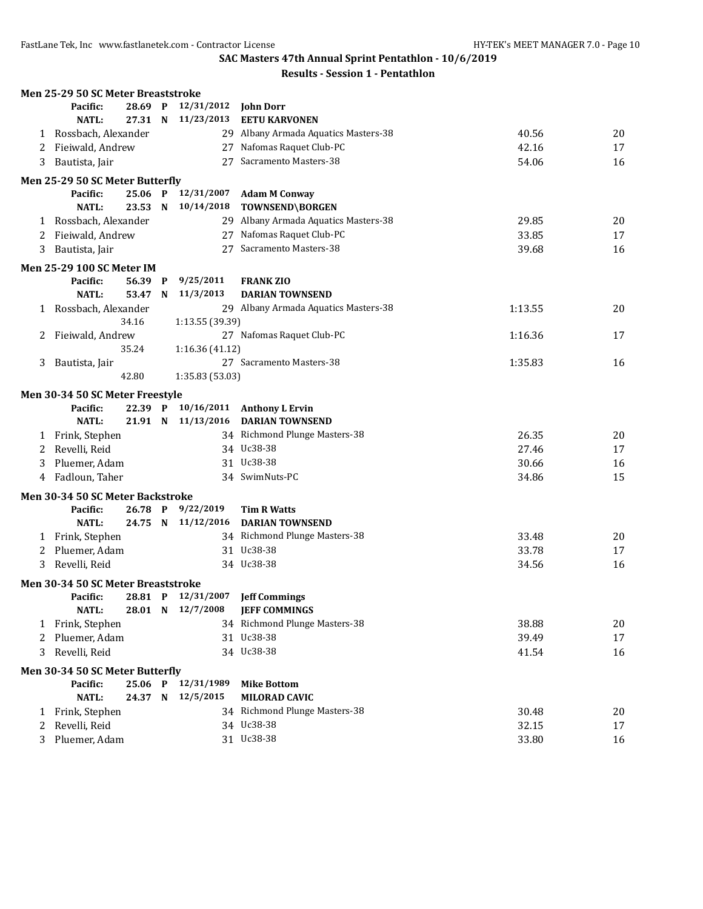|   | Men 25-29 50 SC Meter Breaststroke |            |                         |                                      |         |    |
|---|------------------------------------|------------|-------------------------|--------------------------------------|---------|----|
|   | Pacific:                           | 28.69 P    | 12/31/2012              | <b>John Dorr</b>                     |         |    |
|   | <b>NATL:</b>                       | 27.31 N    | 11/23/2013              | <b>EETU KARVONEN</b>                 |         |    |
| 1 | Rossbach, Alexander                |            |                         | 29 Albany Armada Aquatics Masters-38 | 40.56   | 20 |
| 2 | Fieiwald, Andrew                   |            |                         | 27 Nafomas Raquet Club-PC            | 42.16   | 17 |
| 3 | Bautista, Jair                     |            |                         | 27 Sacramento Masters-38             | 54.06   | 16 |
|   | Men 25-29 50 SC Meter Butterfly    |            |                         |                                      |         |    |
|   | Pacific:                           | 25.06 P    | 12/31/2007              | <b>Adam M Conway</b>                 |         |    |
|   | <b>NATL:</b>                       | 23.53 N    | 10/14/2018              | TOWNSEND\BORGEN                      |         |    |
|   | 1 Rossbach, Alexander              |            |                         | 29 Albany Armada Aquatics Masters-38 | 29.85   | 20 |
| 2 | Fieiwald, Andrew                   |            |                         | 27 Nafomas Raquet Club-PC            | 33.85   | 17 |
| 3 | Bautista, Jair                     |            | 27                      | Sacramento Masters-38                | 39.68   | 16 |
|   | <b>Men 25-29 100 SC Meter IM</b>   |            |                         |                                      |         |    |
|   | Pacific:                           | 56.39 P    | 9/25/2011               | <b>FRANK ZIO</b>                     |         |    |
|   | <b>NATL:</b>                       | 53.47<br>N | 11/3/2013               | <b>DARIAN TOWNSEND</b>               |         |    |
| 1 | Rossbach, Alexander                |            |                         | 29 Albany Armada Aquatics Masters-38 | 1:13.55 | 20 |
|   | 34.16                              |            | 1:13.55 (39.39)         |                                      |         |    |
| 2 | Fieiwald, Andrew                   |            |                         | 27 Nafomas Raquet Club-PC            | 1:16.36 | 17 |
|   | 35.24                              |            | 1:16.36 (41.12)         |                                      |         |    |
| 3 | Bautista, Jair                     |            |                         | 27 Sacramento Masters-38             | 1:35.83 | 16 |
|   | 42.80                              |            | 1:35.83 (53.03)         |                                      |         |    |
|   | Men 30-34 50 SC Meter Freestyle    |            |                         |                                      |         |    |
|   | Pacific:                           | 22.39 P    |                         | 10/16/2011 Anthony L Ervin           |         |    |
|   | <b>NATL:</b>                       | 21.91 N    |                         | 11/13/2016 DARIAN TOWNSEND           |         |    |
| 1 | Frink, Stephen                     |            |                         | 34 Richmond Plunge Masters-38        | 26.35   | 20 |
| 2 | Revelli, Reid                      |            |                         | 34 Uc38-38                           | 27.46   | 17 |
| 3 | Pluemer, Adam                      |            |                         | 31 Uc38-38                           | 30.66   | 16 |
| 4 | Fadloun, Taher                     |            |                         | 34 SwimNuts-PC                       | 34.86   | 15 |
|   |                                    |            |                         |                                      |         |    |
|   | Men 30-34 50 SC Meter Backstroke   |            |                         |                                      |         |    |
|   | Pacific:                           | 26.78 P    | 9/22/2019<br>11/12/2016 | <b>Tim R Watts</b>                   |         |    |
|   | <b>NATL:</b>                       | 24.75 N    |                         | <b>DARIAN TOWNSEND</b>               |         |    |
|   | 1 Frink, Stephen                   |            |                         | 34 Richmond Plunge Masters-38        | 33.48   | 20 |
| 2 | Pluemer, Adam                      |            |                         | 31 Uc38-38                           | 33.78   | 17 |
| 3 | Revelli, Reid                      |            |                         | 34 Uc38-38                           | 34.56   | 16 |
|   | Men 30-34 50 SC Meter Breaststroke |            |                         |                                      |         |    |
|   | Pacific:                           |            |                         | 28.81 P 12/31/2007 Jeff Commings     |         |    |
|   | NATL:                              |            | 28.01 N 12/7/2008       | <b>JEFF COMMINGS</b>                 |         |    |
| 1 | Frink, Stephen                     |            |                         | 34 Richmond Plunge Masters-38        | 38.88   | 20 |
| 2 | Pluemer, Adam                      |            |                         | 31 Uc38-38                           | 39.49   | 17 |
| 3 | Revelli, Reid                      |            |                         | 34 Uc38-38                           | 41.54   | 16 |
|   | Men 30-34 50 SC Meter Butterfly    |            |                         |                                      |         |    |
|   | Pacific:                           | 25.06 P    | 12/31/1989              | <b>Mike Bottom</b>                   |         |    |
|   | <b>NATL:</b>                       | 24.37 N    | 12/5/2015               | <b>MILORAD CAVIC</b>                 |         |    |
| 1 | Frink, Stephen                     |            |                         | 34 Richmond Plunge Masters-38        | 30.48   | 20 |
| 2 | Revelli, Reid                      |            |                         | 34 Uc38-38                           | 32.15   | 17 |
| 3 | Pluemer, Adam                      |            |                         | 31 Uc38-38                           | 33.80   | 16 |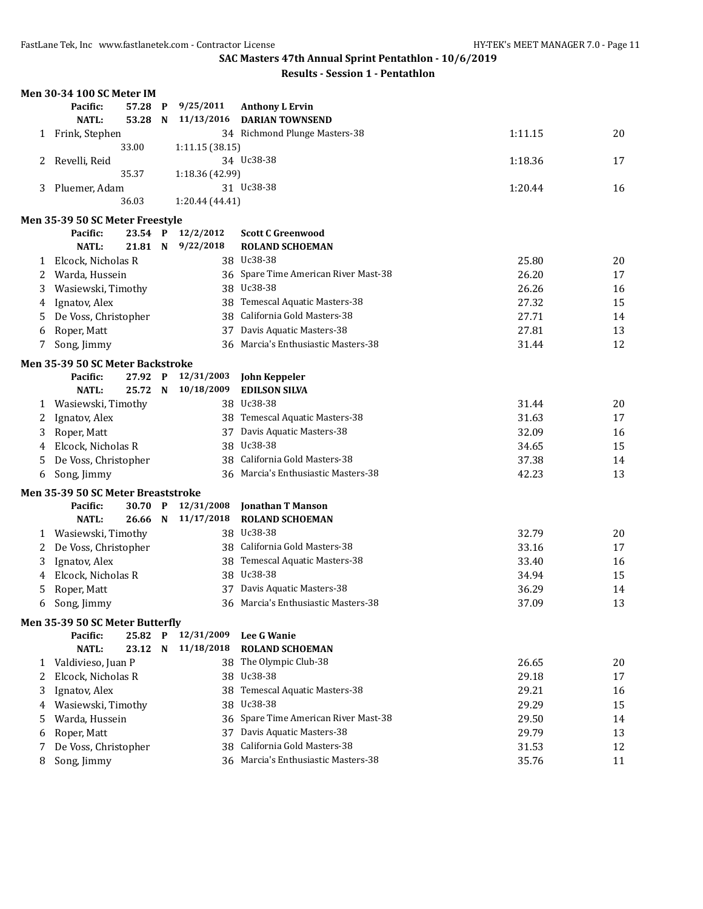|   | <b>Men 30-34 100 SC Meter IM</b>               |         |                 |                                      |         |    |
|---|------------------------------------------------|---------|-----------------|--------------------------------------|---------|----|
|   | Pacific:                                       | 57.28 P | 9/25/2011       | <b>Anthony L Ervin</b>               |         |    |
|   | <b>NATL:</b>                                   | 53.28 N | 11/13/2016      | <b>DARIAN TOWNSEND</b>               |         |    |
|   | 1 Frink, Stephen                               |         |                 | 34 Richmond Plunge Masters-38        | 1:11.15 | 20 |
|   |                                                | 33.00   | 1:11.15(38.15)  |                                      |         |    |
| 2 | Revelli, Reid                                  |         |                 | 34 Uc38-38                           | 1:18.36 | 17 |
|   |                                                | 35.37   | 1:18.36 (42.99) |                                      |         |    |
| 3 | Pluemer, Adam                                  |         |                 | 31 Uc38-38                           | 1:20.44 | 16 |
|   |                                                | 36.03   | 1:20.44 (44.41) |                                      |         |    |
|   | Men 35-39 50 SC Meter Freestyle                |         |                 |                                      |         |    |
|   | Pacific:                                       | 23.54 P | 12/2/2012       | <b>Scott C Greenwood</b>             |         |    |
|   | <b>NATL:</b>                                   | 21.81 N | 9/22/2018       | <b>ROLAND SCHOEMAN</b>               |         |    |
| 1 | Elcock, Nicholas R                             |         |                 | 38 Uc38-38                           | 25.80   | 20 |
| 2 | Warda, Hussein                                 |         |                 | 36 Spare Time American River Mast-38 | 26.20   | 17 |
| 3 | Wasiewski, Timothy                             |         |                 | 38 Uc38-38                           | 26.26   | 16 |
| 4 | Ignatov, Alex                                  |         | 38              | Temescal Aquatic Masters-38          | 27.32   | 15 |
| 5 | De Voss, Christopher                           |         | 38              | California Gold Masters-38           | 27.71   | 14 |
| 6 | Roper, Matt                                    |         | 37              | Davis Aquatic Masters-38             | 27.81   | 13 |
| 7 | Song, Jimmy                                    |         | 36              | Marcia's Enthusiastic Masters-38     | 31.44   | 12 |
|   | Men 35-39 50 SC Meter Backstroke               |         |                 |                                      |         |    |
|   | Pacific:                                       | 27.92 P | 12/31/2003      | <b>John Keppeler</b>                 |         |    |
|   | <b>NATL:</b>                                   | 25.72 N | 10/18/2009      | <b>EDILSON SILVA</b>                 |         |    |
| 1 | Wasiewski, Timothy                             |         |                 | 38 Uc38-38                           | 31.44   | 20 |
| 2 | Ignatov, Alex                                  |         |                 | 38 Temescal Aquatic Masters-38       | 31.63   | 17 |
| 3 | Roper, Matt                                    |         |                 | 37 Davis Aquatic Masters-38          | 32.09   | 16 |
| 4 | Elcock, Nicholas R                             |         |                 | 38 Uc38-38                           | 34.65   | 15 |
| 5 | De Voss, Christopher                           |         |                 | 38 California Gold Masters-38        | 37.38   | 14 |
| 6 | Song, Jimmy                                    |         |                 | 36 Marcia's Enthusiastic Masters-38  | 42.23   | 13 |
|   |                                                |         |                 |                                      |         |    |
|   | Men 35-39 50 SC Meter Breaststroke<br>Pacific: | 30.70 P | 12/31/2008      | <b>Jonathan T Manson</b>             |         |    |
|   | NATL:                                          | 26.66 N | 11/17/2018      | <b>ROLAND SCHOEMAN</b>               |         |    |
| 1 | Wasiewski, Timothy                             |         |                 | 38 Uc38-38                           | 32.79   | 20 |
| 2 | De Voss, Christopher                           |         |                 | 38 California Gold Masters-38        | 33.16   | 17 |
| 3 | Ignatov, Alex                                  |         | 38              | Temescal Aquatic Masters-38          | 33.40   | 16 |
| 4 | Elcock, Nicholas R                             |         |                 | 38 Uc38-38                           | 34.94   | 15 |
| 5 | Roper, Matt                                    |         |                 | 37 Davis Aquatic Masters-38          | 36.29   | 14 |
| 6 |                                                |         |                 | 36 Marcia's Enthusiastic Masters-38  | 37.09   | 13 |
|   | Song, Jimmy                                    |         |                 |                                      |         |    |
|   | Men 35-39 50 SC Meter Butterfly                |         |                 |                                      |         |    |
|   | Pacific:                                       | 25.82 P | 12/31/2009      | <b>Lee G Wanie</b>                   |         |    |
|   | <b>NATL:</b>                                   | 23.12 N | 11/18/2018      | <b>ROLAND SCHOEMAN</b>               |         |    |
| 1 | Valdivieso, Juan P                             |         |                 | 38 The Olympic Club-38               | 26.65   | 20 |
| 2 | Elcock, Nicholas R                             |         |                 | 38 Uc38-38                           | 29.18   | 17 |
| 3 | Ignatov, Alex                                  |         | 38              | Temescal Aquatic Masters-38          | 29.21   | 16 |
| 4 | Wasiewski, Timothy                             |         | 38              | Uc38-38                              | 29.29   | 15 |
| 5 | Warda, Hussein                                 |         | 36              | Spare Time American River Mast-38    | 29.50   | 14 |
| 6 | Roper, Matt                                    |         | 37              | Davis Aquatic Masters-38             | 29.79   | 13 |
| 7 | De Voss, Christopher                           |         | 38              | California Gold Masters-38           | 31.53   | 12 |
| 8 | Song, Jimmy                                    |         |                 | 36 Marcia's Enthusiastic Masters-38  | 35.76   | 11 |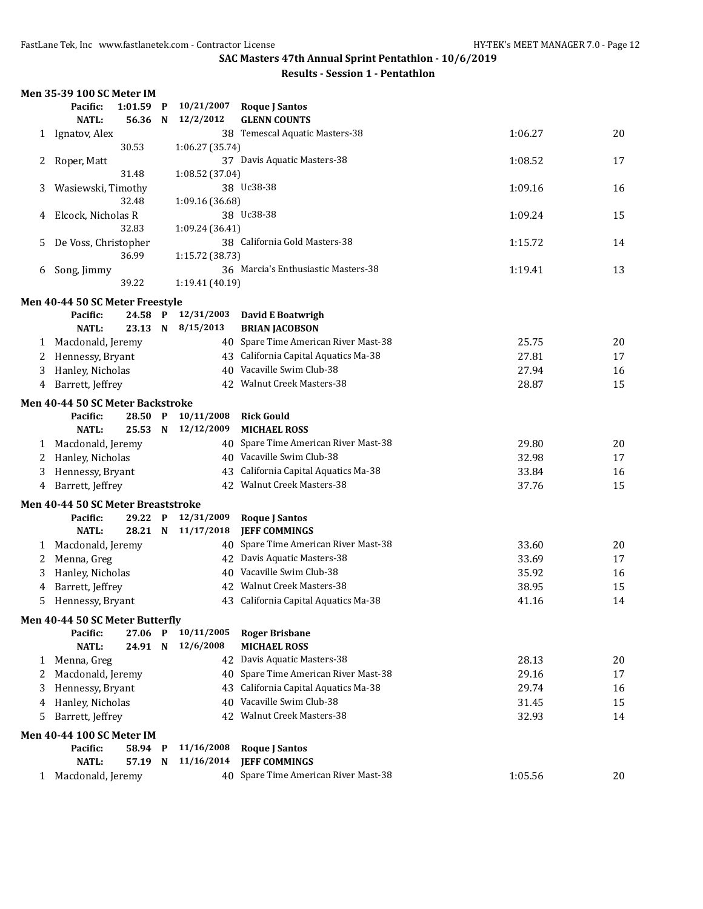|              | Men 35-39 100 SC Meter IM          |         |              |                                      |                                                       |         |    |
|--------------|------------------------------------|---------|--------------|--------------------------------------|-------------------------------------------------------|---------|----|
|              | Pacific:                           | 1:01.59 | P            | 10/21/2007                           | <b>Roque J Santos</b>                                 |         |    |
|              | <b>NATL:</b>                       | 56.36   | N            | 12/2/2012                            | <b>GLENN COUNTS</b>                                   |         |    |
|              | 1 Ignatov, Alex                    |         |              |                                      | 38 Temescal Aquatic Masters-38                        | 1:06.27 | 20 |
|              |                                    | 30.53   |              | 1:06.27 (35.74)                      |                                                       |         |    |
| 2            | Roper, Matt                        |         |              |                                      | 37 Davis Aquatic Masters-38                           | 1:08.52 | 17 |
|              |                                    | 31.48   |              | 1:08.52 (37.04)                      |                                                       |         |    |
| 3            | Wasiewski, Timothy                 |         |              |                                      | 38 Uc38-38                                            | 1:09.16 | 16 |
|              |                                    | 32.48   |              | 1:09.16 (36.68)                      |                                                       |         |    |
| 4            | Elcock, Nicholas R                 |         |              |                                      | 38 Uc38-38                                            | 1:09.24 | 15 |
|              |                                    | 32.83   |              | 1:09.24 (36.41)                      |                                                       |         |    |
| 5            | De Voss, Christopher               |         |              |                                      | 38 California Gold Masters-38                         | 1:15.72 | 14 |
|              |                                    | 36.99   |              | 1:15.72 (38.73)                      |                                                       |         |    |
| 6            | Song, Jimmy                        |         |              |                                      | 36 Marcia's Enthusiastic Masters-38                   | 1:19.41 | 13 |
|              |                                    | 39.22   |              | 1:19.41 (40.19)                      |                                                       |         |    |
|              | Men 40-44 50 SC Meter Freestyle    |         |              |                                      |                                                       |         |    |
|              | Pacific:                           | 24.58 P |              | 12/31/2003                           | <b>David E Boatwrigh</b>                              |         |    |
|              | <b>NATL:</b>                       | 23.13   | N            | 8/15/2013                            | <b>BRIAN JACOBSON</b>                                 |         |    |
| 1            | Macdonald, Jeremy                  |         |              |                                      | 40 Spare Time American River Mast-38                  | 25.75   | 20 |
| 2            | Hennessy, Bryant                   |         |              | 43 California Capital Aquatics Ma-38 | 27.81                                                 | 17      |    |
| 3            | Hanley, Nicholas                   |         |              | 40 Vacaville Swim Club-38            | 27.94                                                 | 16      |    |
| 4            | Barrett, Jeffrey                   |         |              | 42 Walnut Creek Masters-38           | 28.87                                                 | 15      |    |
|              | Men 40-44 50 SC Meter Backstroke   |         |              |                                      |                                                       |         |    |
|              | Pacific:                           | 28.50 P |              | 10/11/2008                           | <b>Rick Gould</b>                                     |         |    |
|              | <b>NATL:</b>                       | 25.53 N |              | 12/12/2009                           | <b>MICHAEL ROSS</b>                                   |         |    |
| $\mathbf{1}$ | Macdonald, Jeremy                  |         |              |                                      | 40 Spare Time American River Mast-38                  | 29.80   | 20 |
| 2            | Hanley, Nicholas                   |         |              |                                      | 40 Vacaville Swim Club-38                             | 32.98   | 17 |
| 3            | Hennessy, Bryant                   |         |              |                                      | 43 California Capital Aquatics Ma-38                  | 33.84   | 16 |
| 4            | Barrett, Jeffrey                   |         |              |                                      | 42 Walnut Creek Masters-38                            | 37.76   | 15 |
|              |                                    |         |              |                                      |                                                       |         |    |
|              | Men 40-44 50 SC Meter Breaststroke |         |              |                                      |                                                       |         |    |
|              | Pacific:                           | 29.22   | $\mathbf{P}$ | 12/31/2009                           | <b>Roque J Santos</b>                                 |         |    |
|              | <b>NATL:</b>                       | 28.21 N |              | 11/17/2018                           | <b>JEFF COMMINGS</b>                                  |         |    |
| 1            | Macdonald, Jeremy                  |         |              | 40                                   | Spare Time American River Mast-38                     | 33.60   | 20 |
| 2            | Menna, Greg                        |         |              |                                      | 42 Davis Aquatic Masters-38<br>Vacaville Swim Club-38 | 33.69   | 17 |
| 3            | Hanley, Nicholas                   |         |              | 40                                   |                                                       | 35.92   | 16 |
| 4            | Barrett, Jeffrey                   |         |              |                                      | 42 Walnut Creek Masters-38                            | 38.95   | 15 |
| 5            | Hennessy, Bryant                   |         |              |                                      | 43 California Capital Aquatics Ma-38                  | 41.16   | 14 |
|              | Men 40-44 50 SC Meter Butterfly    |         |              |                                      |                                                       |         |    |
|              | Pacific:                           | 27.06 P |              | 10/11/2005                           | <b>Roger Brisbane</b>                                 |         |    |
|              | <b>NATL:</b>                       | 24.91 N |              | 12/6/2008                            | <b>MICHAEL ROSS</b>                                   |         |    |
|              | 1 Menna, Greg                      |         |              |                                      | 42 Davis Aquatic Masters-38                           | 28.13   | 20 |
| 2            | Macdonald, Jeremy                  |         |              |                                      | 40 Spare Time American River Mast-38                  | 29.16   | 17 |
| 3            | Hennessy, Bryant                   |         |              |                                      | 43 California Capital Aquatics Ma-38                  | 29.74   | 16 |
| 4            | Hanley, Nicholas                   |         |              |                                      | 40 Vacaville Swim Club-38                             | 31.45   | 15 |
| 5            | Barrett, Jeffrey                   |         |              |                                      | 42 Walnut Creek Masters-38                            | 32.93   | 14 |
|              | <b>Men 40-44 100 SC Meter IM</b>   |         |              |                                      |                                                       |         |    |
|              | Pacific:                           | 58.94 P |              | 11/16/2008                           | <b>Roque J Santos</b>                                 |         |    |
|              | <b>NATL:</b>                       | 57.19 N |              | 11/16/2014                           | <b>JEFF COMMINGS</b>                                  |         |    |
|              | 1 Macdonald, Jeremy                |         |              |                                      | 40 Spare Time American River Mast-38                  | 1:05.56 | 20 |
|              |                                    |         |              |                                      |                                                       |         |    |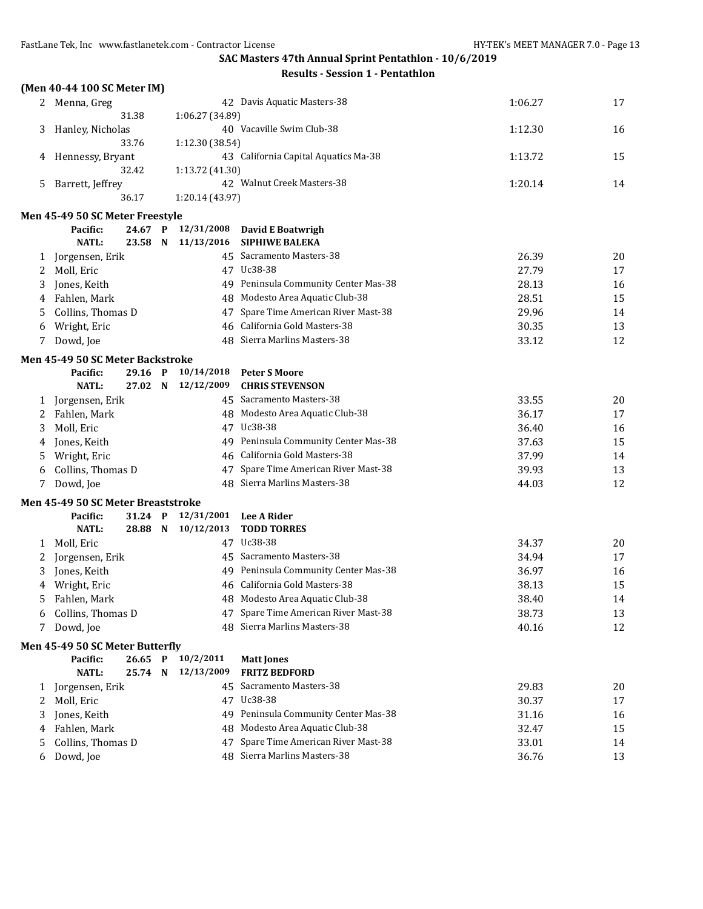|   | (Men 40-44 100 SC Meter IM)        |         |              |                              |                                      |         |    |
|---|------------------------------------|---------|--------------|------------------------------|--------------------------------------|---------|----|
|   | 2 Menna, Greg                      |         |              |                              | 42 Davis Aquatic Masters-38          | 1:06.27 | 17 |
|   |                                    | 31.38   |              | 1:06.27 (34.89)              |                                      |         |    |
| 3 | Hanley, Nicholas                   |         |              |                              | 40 Vacaville Swim Club-38            | 1:12.30 | 16 |
|   |                                    | 33.76   |              | 1:12.30 (38.54)              |                                      |         |    |
| 4 | Hennessy, Bryant                   |         |              |                              | 43 California Capital Aquatics Ma-38 | 1:13.72 | 15 |
|   |                                    | 32.42   |              | 1:13.72 (41.30)              |                                      |         |    |
| 5 | Barrett, Jeffrey                   |         |              |                              | 42 Walnut Creek Masters-38           | 1:20.14 | 14 |
|   |                                    | 36.17   |              | 1:20.14 (43.97)              |                                      |         |    |
|   | Men 45-49 50 SC Meter Freestyle    |         |              |                              |                                      |         |    |
|   | Pacific:                           | 24.67   | P            | 12/31/2008                   | David E Boatwrigh                    |         |    |
|   | <b>NATL:</b>                       | 23.58 N |              | 11/13/2016                   | <b>SIPHIWE BALEKA</b>                |         |    |
| 1 | Jorgensen, Erik                    |         |              |                              | 45 Sacramento Masters-38             | 26.39   | 20 |
| 2 | Moll, Eric                         |         |              |                              | 47 Uc38-38                           | 27.79   | 17 |
| 3 | Jones, Keith                       |         |              |                              | 49 Peninsula Community Center Mas-38 | 28.13   | 16 |
| 4 | Fahlen, Mark                       |         |              |                              | 48 Modesto Area Aquatic Club-38      | 28.51   | 15 |
| 5 | Collins, Thomas D                  |         |              | 47                           | Spare Time American River Mast-38    | 29.96   | 14 |
| 6 | Wright, Eric                       |         |              |                              | 46 California Gold Masters-38        | 30.35   | 13 |
| 7 | Dowd, Joe                          |         |              | 48 Sierra Marlins Masters-38 | 33.12                                | 12      |    |
|   | Men 45-49 50 SC Meter Backstroke   |         |              |                              |                                      |         |    |
|   | Pacific:                           | 29.16 P |              | 10/14/2018                   | <b>Peter S Moore</b>                 |         |    |
|   | <b>NATL:</b>                       | 27.02 N |              | 12/12/2009                   | <b>CHRIS STEVENSON</b>               |         |    |
| 1 | Jorgensen, Erik                    |         |              |                              | 45 Sacramento Masters-38             | 33.55   | 20 |
| 2 | Fahlen, Mark                       |         |              |                              | 48 Modesto Area Aquatic Club-38      | 36.17   | 17 |
| 3 | Moll, Eric                         |         |              |                              | 47 Uc38-38                           | 36.40   | 16 |
| 4 | Jones, Keith                       |         |              |                              | 49 Peninsula Community Center Mas-38 | 37.63   | 15 |
| 5 | Wright, Eric                       |         |              |                              | 46 California Gold Masters-38        | 37.99   | 14 |
| 6 | Collins, Thomas D                  |         |              |                              | 47 Spare Time American River Mast-38 | 39.93   | 13 |
| 7 | Dowd, Joe                          |         |              |                              | 48 Sierra Marlins Masters-38         | 44.03   | 12 |
|   | Men 45-49 50 SC Meter Breaststroke |         |              |                              |                                      |         |    |
|   | Pacific:                           | 31.24   | $\mathbf{P}$ | 12/31/2001                   | <b>Lee A Rider</b>                   |         |    |
|   | <b>NATL:</b>                       |         |              | 28.88 N 10/12/2013           | <b>TODD TORRES</b>                   |         |    |
| 1 | Moll, Eric                         |         |              |                              | 47 Uc38-38                           | 34.37   | 20 |
| 2 | Jorgensen, Erik                    |         |              |                              | 45 Sacramento Masters-38             | 34.94   | 17 |
| 3 | Jones, Keith                       |         |              |                              | 49 Peninsula Community Center Mas-38 | 36.97   | 16 |
| 4 | Wright, Eric                       |         |              |                              | 46 California Gold Masters-38        | 38.13   | 15 |
| 5 | Fahlen, Mark                       |         |              |                              | 48 Modesto Area Aquatic Club-38      | 38.40   | 14 |
| 6 | Collins, Thomas D                  |         |              | 47                           | Spare Time American River Mast-38    | 38.73   | 13 |
| 7 | Dowd, Joe                          |         |              | 48                           | Sierra Marlins Masters-38            | 40.16   | 12 |
|   |                                    |         |              |                              |                                      |         |    |
|   | Men 45-49 50 SC Meter Butterfly    |         |              |                              |                                      |         |    |
|   | Pacific:                           | 26.65   | $\mathbf{P}$ | 10/2/2011                    | <b>Matt Jones</b>                    |         |    |
|   | <b>NATL:</b>                       | 25.74   | N            | 12/13/2009                   | <b>FRITZ BEDFORD</b>                 |         |    |
| 1 | Jorgensen, Erik                    |         |              | 45                           | Sacramento Masters-38                | 29.83   | 20 |
| 2 | Moll, Eric                         |         |              |                              | 47 Uc38-38                           | 30.37   | 17 |
| 3 | Jones, Keith                       |         |              | 49                           | Peninsula Community Center Mas-38    | 31.16   | 16 |
| 4 | Fahlen, Mark                       |         |              | 48                           | Modesto Area Aquatic Club-38         | 32.47   | 15 |
| 5 | Collins, Thomas D                  |         |              | 47                           | Spare Time American River Mast-38    | 33.01   | 14 |
| 6 | Dowd, Joe                          |         |              |                              | 48 Sierra Marlins Masters-38         | 36.76   | 13 |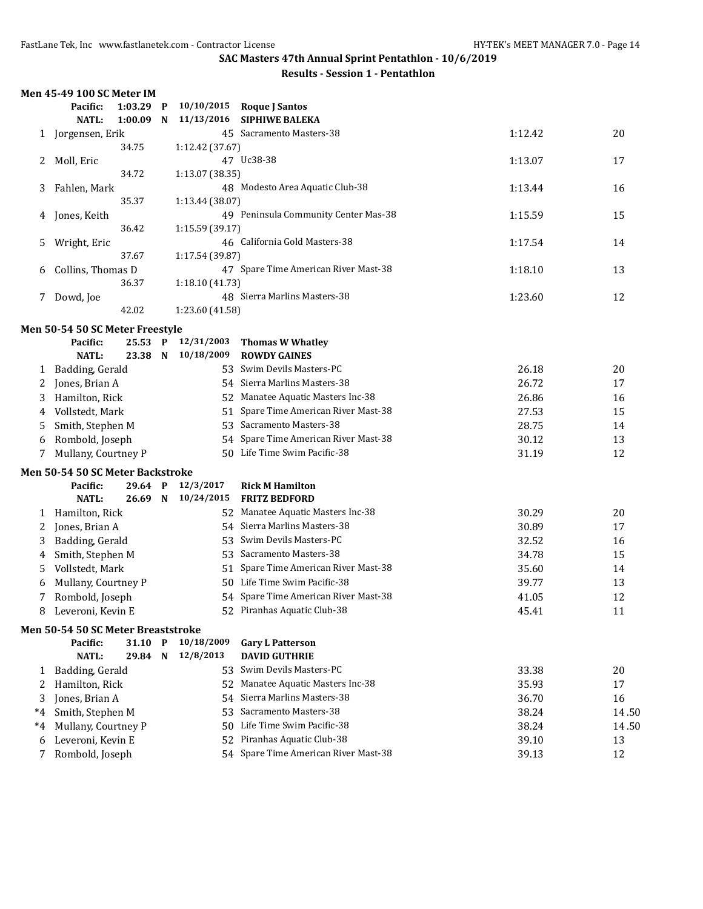| <b>Results - Session 1 - Pentathlon</b> |  |  |
|-----------------------------------------|--|--|
|-----------------------------------------|--|--|

|      | Men 45-49 100 SC Meter IM               |         |             |                    |                                      |         |       |
|------|-----------------------------------------|---------|-------------|--------------------|--------------------------------------|---------|-------|
|      | Pacific:                                | 1:03.29 | $\mathbf P$ | 10/10/2015         | <b>Roque J Santos</b>                |         |       |
|      | <b>NATL:</b>                            | 1:00.09 | N           | 11/13/2016         | <b>SIPHIWE BALEKA</b>                |         |       |
| 1    | Jorgensen, Erik                         |         |             |                    | 45 Sacramento Masters-38             | 1:12.42 | 20    |
|      |                                         | 34.75   |             | 1:12.42 (37.67)    |                                      |         |       |
| 2    | Moll, Eric                              |         |             |                    | 47 Uc38-38                           | 1:13.07 | 17    |
|      |                                         | 34.72   |             | 1:13.07 (38.35)    |                                      |         |       |
| 3    | Fahlen, Mark                            |         |             |                    | 48 Modesto Area Aquatic Club-38      | 1:13.44 | 16    |
|      |                                         | 35.37   |             | 1:13.44 (38.07)    |                                      |         |       |
| 4    | Jones, Keith                            |         |             |                    | 49 Peninsula Community Center Mas-38 | 1:15.59 | 15    |
|      |                                         | 36.42   |             | 1:15.59 (39.17)    |                                      |         |       |
| 5    | Wright, Eric                            |         |             |                    | 46 California Gold Masters-38        | 1:17.54 | 14    |
|      |                                         | 37.67   |             | 1:17.54 (39.87)    |                                      |         |       |
| 6    | Collins, Thomas D                       | 36.37   |             |                    | 47 Spare Time American River Mast-38 | 1:18.10 | 13    |
|      |                                         |         |             | 1:18.10 (41.73)    | 48 Sierra Marlins Masters-38         |         |       |
| 7    | Dowd, Joe                               | 42.02   |             | 1:23.60 (41.58)    |                                      | 1:23.60 | 12    |
|      |                                         |         |             |                    |                                      |         |       |
|      | Men 50-54 50 SC Meter Freestyle         |         |             |                    |                                      |         |       |
|      | Pacific:                                | 25.53 P |             | 12/31/2003         | <b>Thomas W Whatley</b>              |         |       |
|      | <b>NATL:</b>                            | 23.38   | $\mathbf N$ | 10/18/2009         | <b>ROWDY GAINES</b>                  |         |       |
| 1    | Badding, Gerald                         |         |             | 53.                | Swim Devils Masters-PC               | 26.18   | 20    |
| 2    | Jones, Brian A                          |         |             | 54                 | Sierra Marlins Masters-38            | 26.72   | 17    |
| 3    | Hamilton, Rick                          |         |             | 52                 | Manatee Aquatic Masters Inc-38       | 26.86   | 16    |
| 4    | Vollstedt, Mark                         |         |             | 51                 | Spare Time American River Mast-38    | 27.53   | 15    |
| 5    | Smith, Stephen M                        |         |             | 53                 | Sacramento Masters-38                | 28.75   | 14    |
| 6    | Rombold, Joseph                         |         |             |                    | 54 Spare Time American River Mast-38 | 30.12   | 13    |
| 7    | Mullany, Courtney P                     |         |             |                    | 50 Life Time Swim Pacific-38         | 31.19   | 12    |
|      | <b>Men 50-54 50 SC Meter Backstroke</b> |         |             |                    |                                      |         |       |
|      | Pacific:                                |         |             | 29.64 P 12/3/2017  | <b>Rick M Hamilton</b>               |         |       |
|      | <b>NATL:</b>                            |         |             | 26.69 N 10/24/2015 | <b>FRITZ BEDFORD</b>                 |         |       |
| 1    | Hamilton, Rick                          |         |             |                    | 52 Manatee Aquatic Masters Inc-38    | 30.29   | 20    |
| 2    | Jones, Brian A                          |         |             |                    | 54 Sierra Marlins Masters-38         | 30.89   | 17    |
| 3    | Badding, Gerald                         |         |             |                    | 53 Swim Devils Masters-PC            | 32.52   | 16    |
| 4    | Smith, Stephen M                        |         |             |                    | 53 Sacramento Masters-38             | 34.78   | 15    |
| 5    | Vollstedt, Mark                         |         |             |                    | 51 Spare Time American River Mast-38 | 35.60   | 14    |
| 6    | Mullany, Courtney P                     |         |             |                    | 50 Life Time Swim Pacific-38         | 39.77   | 13    |
| 7    | Rombold, Joseph                         |         |             |                    | 54 Spare Time American River Mast-38 | 41.05   | 12    |
|      | 8 Leveroni, Kevin E                     |         |             |                    | 52 Piranhas Aquatic Club-38          | 45.41   | 11    |
|      | Men 50-54 50 SC Meter Breaststroke      |         |             |                    |                                      |         |       |
|      | Pacific:                                | 31.10 P |             | 10/18/2009         | <b>Gary L Patterson</b>              |         |       |
|      | <b>NATL:</b>                            | 29.84   | $\mathbf N$ | 12/8/2013          | <b>DAVID GUTHRIE</b>                 |         |       |
| 1    | Badding, Gerald                         |         |             | 53.                | Swim Devils Masters-PC               | 33.38   | 20    |
| 2    | Hamilton, Rick                          |         |             | 52                 | Manatee Aquatic Masters Inc-38       | 35.93   | 17    |
| 3    | Jones, Brian A                          |         |             | 54                 | Sierra Marlins Masters-38            | 36.70   | 16    |
| *4   | Smith, Stephen M                        |         |             | 53                 | Sacramento Masters-38                | 38.24   | 14.50 |
| $*4$ | Mullany, Courtney P                     |         |             | 50                 | Life Time Swim Pacific-38            | 38.24   | 14.50 |
| 6    | Leveroni, Kevin E                       |         |             | 52                 | Piranhas Aquatic Club-38             | 39.10   | 13    |
| 7    | Rombold, Joseph                         |         |             |                    | 54 Spare Time American River Mast-38 | 39.13   | 12    |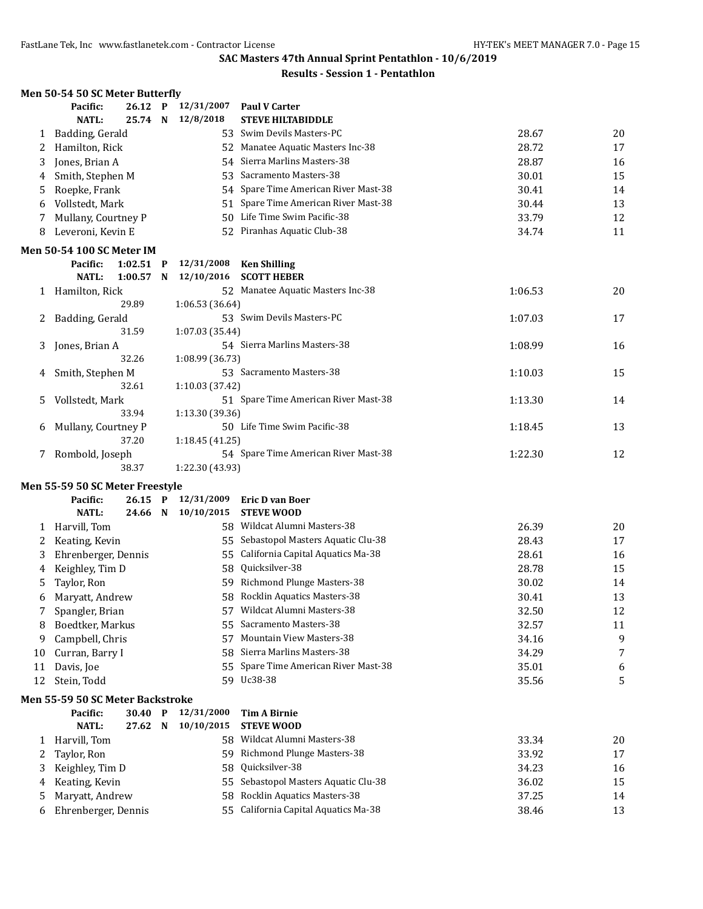|    | Men 50-54 50 SC Meter Butterfly  |             |                 |                                      |         |    |
|----|----------------------------------|-------------|-----------------|--------------------------------------|---------|----|
|    | Pacific:                         | 26.12 P     | 12/31/2007      | <b>Paul V Carter</b>                 |         |    |
|    | <b>NATL:</b>                     | 25.74 N     | 12/8/2018       | <b>STEVE HILTABIDDLE</b>             |         |    |
| 1  | Badding, Gerald                  |             |                 | 53 Swim Devils Masters-PC            | 28.67   | 20 |
| 2  | Hamilton, Rick                   |             |                 | 52 Manatee Aquatic Masters Inc-38    | 28.72   | 17 |
| 3  | Jones, Brian A                   |             |                 | 54 Sierra Marlins Masters-38         | 28.87   | 16 |
| 4  | Smith, Stephen M                 |             |                 | 53 Sacramento Masters-38             | 30.01   | 15 |
| 5  | Roepke, Frank                    |             |                 | 54 Spare Time American River Mast-38 | 30.41   | 14 |
| 6  | Vollstedt, Mark                  |             |                 | 51 Spare Time American River Mast-38 | 30.44   | 13 |
| 7  | Mullany, Courtney P              |             |                 | 50 Life Time Swim Pacific-38         | 33.79   | 12 |
| 8  | Leveroni, Kevin E                |             |                 | 52 Piranhas Aquatic Club-38          | 34.74   | 11 |
|    | <b>Men 50-54 100 SC Meter IM</b> |             |                 |                                      |         |    |
|    | Pacific:                         | $1:02.51$ P | 12/31/2008      | <b>Ken Shilling</b>                  |         |    |
|    | <b>NATL:</b>                     | $1:00.57$ N | 12/10/2016      | <b>SCOTT HEBER</b>                   |         |    |
|    | 1 Hamilton, Rick                 |             |                 | 52 Manatee Aquatic Masters Inc-38    | 1:06.53 | 20 |
|    |                                  | 29.89       | 1:06.53 (36.64) |                                      |         |    |
| 2  | Badding, Gerald                  |             |                 | 53 Swim Devils Masters-PC            | 1:07.03 | 17 |
|    |                                  | 31.59       | 1:07.03 (35.44) |                                      |         |    |
| 3  | Jones, Brian A                   |             |                 | 54 Sierra Marlins Masters-38         | 1:08.99 | 16 |
|    |                                  | 32.26       | 1:08.99 (36.73) |                                      |         |    |
| 4  | Smith, Stephen M                 |             |                 | 53 Sacramento Masters-38             | 1:10.03 | 15 |
|    |                                  | 32.61       | 1:10.03 (37.42) |                                      |         |    |
| 5. | Vollstedt, Mark                  |             |                 | 51 Spare Time American River Mast-38 | 1:13.30 | 14 |
|    |                                  | 33.94       | 1:13.30 (39.36) |                                      |         |    |
| 6  | Mullany, Courtney P              |             |                 | 50 Life Time Swim Pacific-38         | 1:18.45 | 13 |
|    |                                  | 37.20       | 1:18.45 (41.25) |                                      |         |    |
| 7  | Rombold, Joseph                  |             |                 | 54 Spare Time American River Mast-38 | 1:22.30 | 12 |
|    |                                  | 38.37       | 1:22.30 (43.93) |                                      |         |    |
|    | Men 55-59 50 SC Meter Freestyle  |             |                 |                                      |         |    |
|    | Pacific:                         | $26.15$ P   | 12/31/2009      | <b>Eric D van Boer</b>               |         |    |
|    | NATL:                            | 24.66 N     | 10/10/2015      | <b>STEVE WOOD</b>                    |         |    |
| 1  | Harvill, Tom                     |             |                 | 58 Wildcat Alumni Masters-38         | 26.39   | 20 |
| 2  | Keating, Kevin                   |             |                 | 55 Sebastopol Masters Aquatic Clu-38 | 28.43   | 17 |
| 3  | Ehrenberger, Dennis              |             |                 | 55 California Capital Aquatics Ma-38 | 28.61   | 16 |
| 4  | Keighley, Tim D                  |             |                 | 58 Quicksilver-38                    | 28.78   | 15 |
| 5  | Taylor, Ron                      |             |                 | 59 Richmond Plunge Masters-38        | 30.02   | 14 |
|    | 6 Maryatt, Andrew                |             |                 | 58 Rocklin Aquatics Masters-38       | 30.41   | 13 |
| 7  | Spangler, Brian                  |             |                 | 57 Wildcat Alumni Masters-38         | 32.50   | 12 |
| 8  | Boedtker, Markus                 |             |                 | 55 Sacramento Masters-38             | 32.57   | 11 |
| 9  | Campbell, Chris                  |             |                 | 57 Mountain View Masters-38          | 34.16   | 9  |
| 10 | Curran, Barry I                  |             |                 | 58 Sierra Marlins Masters-38         | 34.29   | 7  |
| 11 | Davis, Joe                       |             |                 | 55 Spare Time American River Mast-38 | 35.01   | 6  |
| 12 | Stein, Todd                      |             |                 | 59 Uc38-38                           | 35.56   | 5  |
|    | Men 55-59 50 SC Meter Backstroke |             |                 |                                      |         |    |
|    | Pacific:                         | 30.40 P     | 12/31/2000      | <b>Tim A Birnie</b>                  |         |    |
|    | <b>NATL:</b>                     | 27.62 N     | 10/10/2015      | <b>STEVE WOOD</b>                    |         |    |
| 1  | Harvill, Tom                     |             |                 | 58 Wildcat Alumni Masters-38         | 33.34   | 20 |
| 2  | Taylor, Ron                      |             |                 | 59 Richmond Plunge Masters-38        | 33.92   | 17 |
| 3  | Keighley, Tim D                  |             | 58              | Quicksilver-38                       | 34.23   | 16 |
| 4  | Keating, Kevin                   |             |                 | 55 Sebastopol Masters Aquatic Clu-38 | 36.02   | 15 |
| 5  | Maryatt, Andrew                  |             | 58              | Rocklin Aquatics Masters-38          | 37.25   | 14 |
| 6  | Ehrenberger, Dennis              |             |                 | 55 California Capital Aquatics Ma-38 | 38.46   | 13 |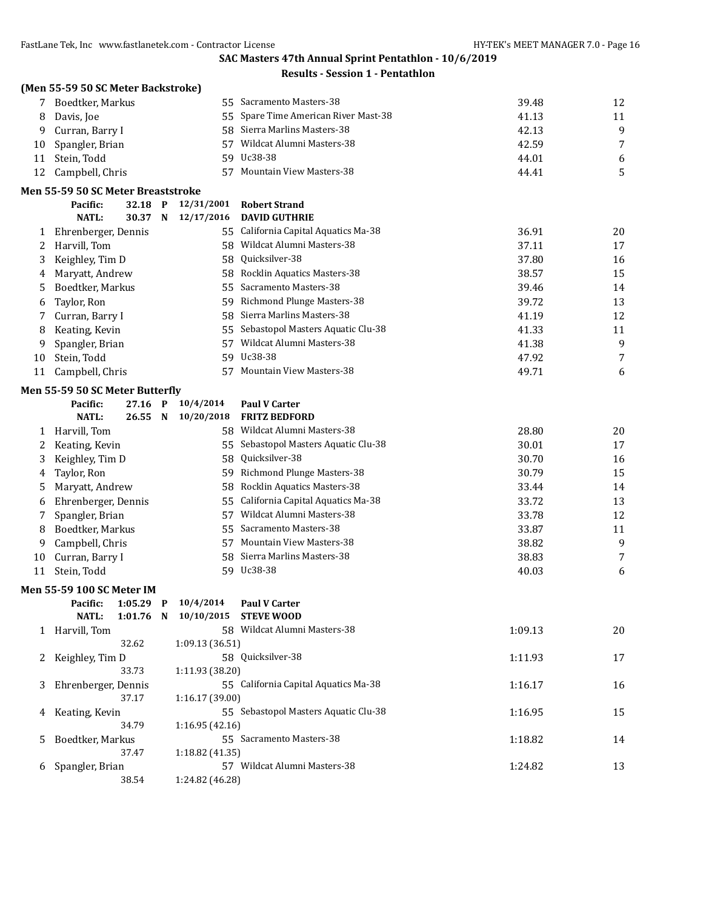|    | (Men 55-59 50 SC Meter Backstroke) |             |                 |                                      |         |    |
|----|------------------------------------|-------------|-----------------|--------------------------------------|---------|----|
|    | Boedtker, Markus                   |             |                 | 55 Sacramento Masters-38             | 39.48   | 12 |
| 8  | Davis, Joe                         |             |                 | 55 Spare Time American River Mast-38 | 41.13   | 11 |
| 9  | Curran, Barry I                    |             | 58              | Sierra Marlins Masters-38            | 42.13   | 9  |
| 10 | Spangler, Brian                    |             | 57              | Wildcat Alumni Masters-38            | 42.59   | 7  |
| 11 | Stein, Todd                        |             |                 | 59 Uc38-38                           | 44.01   | 6  |
| 12 | Campbell, Chris                    |             |                 | 57 Mountain View Masters-38          | 44.41   | 5  |
|    | Men 55-59 50 SC Meter Breaststroke |             |                 |                                      |         |    |
|    | Pacific:                           | 32.18 P     | 12/31/2001      | <b>Robert Strand</b>                 |         |    |
|    | <b>NATL:</b>                       | 30.37 N     | 12/17/2016      | <b>DAVID GUTHRIE</b>                 |         |    |
| 1  | Ehrenberger, Dennis                |             |                 | 55 California Capital Aquatics Ma-38 | 36.91   | 20 |
| 2  | Harvill, Tom                       |             |                 | 58 Wildcat Alumni Masters-38         | 37.11   | 17 |
| 3  | Keighley, Tim D                    |             | 58              | Quicksilver-38                       | 37.80   | 16 |
| 4  | Maryatt, Andrew                    |             | 58              | Rocklin Aquatics Masters-38          | 38.57   | 15 |
| 5  | Boedtker, Markus                   |             | 55              | Sacramento Masters-38                | 39.46   | 14 |
| 6  | Taylor, Ron                        |             | 59              | Richmond Plunge Masters-38           | 39.72   | 13 |
| 7  | Curran, Barry I                    |             | 58.             | Sierra Marlins Masters-38            | 41.19   | 12 |
| 8  | Keating, Kevin                     |             | 55              | Sebastopol Masters Aquatic Clu-38    | 41.33   | 11 |
| 9  | Spangler, Brian                    |             | 57              | Wildcat Alumni Masters-38            | 41.38   | 9  |
| 10 | Stein, Todd                        |             | 59              | Uc38-38                              | 47.92   | 7  |
| 11 | Campbell, Chris                    |             | 57              | <b>Mountain View Masters-38</b>      | 49.71   | 6  |
|    | Men 55-59 50 SC Meter Butterfly    |             |                 |                                      |         |    |
|    | Pacific:                           | 27.16 P     | 10/4/2014       | <b>Paul V Carter</b>                 |         |    |
|    | <b>NATL:</b>                       | 26.55 N     | 10/20/2018      | <b>FRITZ BEDFORD</b>                 |         |    |
| 1  | Harvill, Tom                       |             |                 | 58 Wildcat Alumni Masters-38         | 28.80   | 20 |
| 2  | Keating, Kevin                     |             |                 | 55 Sebastopol Masters Aquatic Clu-38 | 30.01   | 17 |
| 3  | Keighley, Tim D                    |             | 58              | Quicksilver-38                       | 30.70   | 16 |
| 4  | Taylor, Ron                        |             |                 | 59 Richmond Plunge Masters-38        | 30.79   | 15 |
| 5  | Maryatt, Andrew                    |             | 58              | Rocklin Aquatics Masters-38          | 33.44   | 14 |
| 6  | Ehrenberger, Dennis                |             | 55              | California Capital Aquatics Ma-38    | 33.72   | 13 |
| 7  | Spangler, Brian                    |             | 57              | Wildcat Alumni Masters-38            | 33.78   | 12 |
| 8  | Boedtker, Markus                   |             | 55.             | Sacramento Masters-38                | 33.87   | 11 |
| 9  | Campbell, Chris                    |             | 57              | <b>Mountain View Masters-38</b>      | 38.82   | 9  |
| 10 | Curran, Barry I                    |             | 58              | Sierra Marlins Masters-38            | 38.83   | 7  |
| 11 | Stein, Todd                        |             |                 | 59 Uc38-38                           | 40.03   | 6  |
|    | Men 55-59 100 SC Meter IM          |             |                 |                                      |         |    |
|    | Pacific:                           | $1:05.29$ P | 10/4/2014       | <b>Paul V Carter</b>                 |         |    |
|    | <b>NATL:</b>                       | $1:01.76$ N | 10/10/2015      | <b>STEVE WOOD</b>                    |         |    |
| 1  | Harvill, Tom                       |             |                 | 58 Wildcat Alumni Masters-38         | 1:09.13 | 20 |
|    |                                    | 32.62       | 1:09.13 (36.51) |                                      |         |    |
| 2  | Keighley, Tim D                    |             |                 | 58 Quicksilver-38                    | 1:11.93 | 17 |
|    |                                    | 33.73       | 1:11.93 (38.20) |                                      |         |    |
| 3  | Ehrenberger, Dennis                |             |                 | 55 California Capital Aquatics Ma-38 | 1:16.17 | 16 |
|    |                                    | 37.17       | 1:16.17 (39.00) |                                      |         |    |
| 4  | Keating, Kevin                     |             |                 | 55 Sebastopol Masters Aquatic Clu-38 | 1:16.95 | 15 |
|    |                                    | 34.79       | 1:16.95 (42.16) |                                      |         |    |
| 5  | Boedtker, Markus                   |             |                 | 55 Sacramento Masters-38             | 1:18.82 | 14 |
|    |                                    | 37.47       | 1:18.82 (41.35) |                                      |         |    |
| 6  | Spangler, Brian                    |             |                 | 57 Wildcat Alumni Masters-38         | 1:24.82 | 13 |
|    |                                    | 38.54       | 1:24.82 (46.28) |                                      |         |    |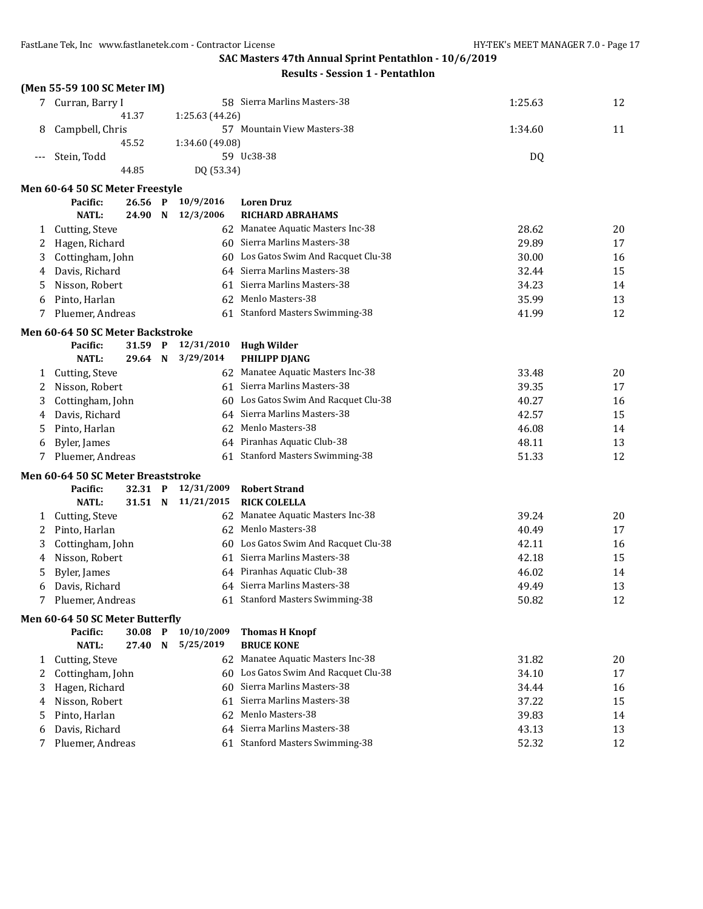|       | (Men 55-59 100 SC Meter IM)        |         |             |                                      |                                      |         |    |
|-------|------------------------------------|---------|-------------|--------------------------------------|--------------------------------------|---------|----|
|       | 7 Curran, Barry I                  |         |             |                                      | 58 Sierra Marlins Masters-38         | 1:25.63 | 12 |
|       |                                    | 41.37   |             | 1:25.63 (44.26)                      |                                      |         |    |
| 8     | Campbell, Chris                    |         |             |                                      | 57 Mountain View Masters-38          | 1:34.60 | 11 |
|       |                                    | 45.52   |             | 1:34.60 (49.08)                      |                                      |         |    |
| $---$ | Stein, Todd                        |         |             |                                      | 59 Uc38-38                           | DQ      |    |
|       |                                    | 44.85   |             | DQ (53.34)                           |                                      |         |    |
|       | Men 60-64 50 SC Meter Freestyle    |         |             |                                      |                                      |         |    |
|       | Pacific:                           | 26.56   | $\mathbf P$ | 10/9/2016                            | <b>Loren Druz</b>                    |         |    |
|       | <b>NATL:</b>                       | 24.90   | N           | 12/3/2006                            | <b>RICHARD ABRAHAMS</b>              |         |    |
| 1     | Cutting, Steve                     |         |             |                                      | 62 Manatee Aquatic Masters Inc-38    | 28.62   | 20 |
| 2     | Hagen, Richard                     |         |             |                                      | 60 Sierra Marlins Masters-38         | 29.89   | 17 |
| 3     | Cottingham, John                   |         |             | 60                                   | Los Gatos Swim And Racquet Clu-38    | 30.00   | 16 |
| 4     | Davis, Richard                     |         |             |                                      | 64 Sierra Marlins Masters-38         | 32.44   | 15 |
| 5     | Nisson, Robert                     |         |             |                                      | 61 Sierra Marlins Masters-38         | 34.23   | 14 |
| 6     | Pinto, Harlan                      |         |             | 62                                   | Menlo Masters-38                     | 35.99   | 13 |
| 7     | Pluemer, Andreas                   |         |             | 61 Stanford Masters Swimming-38      | 41.99                                | 12      |    |
|       | Men 60-64 50 SC Meter Backstroke   |         |             |                                      |                                      |         |    |
|       | Pacific:                           | 31.59 P |             | 12/31/2010                           | <b>Hugh Wilder</b>                   |         |    |
|       | <b>NATL:</b>                       | 29.64 N |             | 3/29/2014                            | PHILIPP DJANG                        |         |    |
| 1     | Cutting, Steve                     |         |             |                                      | 62 Manatee Aquatic Masters Inc-38    | 33.48   | 20 |
| 2     | Nisson, Robert                     |         |             |                                      | 61 Sierra Marlins Masters-38         | 39.35   | 17 |
| 3     | Cottingham, John                   |         |             | 60 Los Gatos Swim And Racquet Clu-38 | 40.27                                | 16      |    |
| 4     | Davis, Richard                     |         |             | 64 Sierra Marlins Masters-38         | 42.57                                | 15      |    |
| 5     | Pinto, Harlan                      |         |             |                                      | 62 Menlo Masters-38                  | 46.08   | 14 |
| 6     | Byler, James                       |         |             |                                      | 64 Piranhas Aquatic Club-38          | 48.11   | 13 |
| 7     | Pluemer, Andreas                   |         |             | 61                                   | <b>Stanford Masters Swimming-38</b>  | 51.33   | 12 |
|       | Men 60-64 50 SC Meter Breaststroke |         |             |                                      |                                      |         |    |
|       | Pacific:                           | 32.31 P |             | 12/31/2009                           | <b>Robert Strand</b>                 |         |    |
|       | <b>NATL:</b>                       | 31.51 N |             | 11/21/2015                           | <b>RICK COLELLA</b>                  |         |    |
| 1     | Cutting, Steve                     |         |             |                                      | 62 Manatee Aquatic Masters Inc-38    | 39.24   | 20 |
| 2     | Pinto, Harlan                      |         |             |                                      | 62 Menlo Masters-38                  | 40.49   | 17 |
| 3     | Cottingham, John                   |         |             |                                      | 60 Los Gatos Swim And Racquet Clu-38 | 42.11   | 16 |
| 4     | Nisson, Robert                     |         |             |                                      | 61 Sierra Marlins Masters-38         | 42.18   | 15 |
| 5     | Byler, James                       |         |             |                                      | 64 Piranhas Aquatic Club-38          | 46.02   | 14 |
| 6     | Davis, Richard                     |         |             |                                      | 64 Sierra Marlins Masters-38         | 49.49   | 13 |
|       | Pluemer, Andreas                   |         |             |                                      | 61 Stanford Masters Swimming-38      | 50.82   | 12 |
|       | Men 60-64 50 SC Meter Butterfly    |         |             |                                      |                                      |         |    |
|       | Pacific:                           | 30.08 P |             | 10/10/2009                           | <b>Thomas H Knopf</b>                |         |    |
|       | <b>NATL:</b>                       | 27.40   | N           | 5/25/2019                            | <b>BRUCE KONE</b>                    |         |    |
| 1     | Cutting, Steve                     |         |             |                                      | 62 Manatee Aquatic Masters Inc-38    | 31.82   | 20 |
| 2     | Cottingham, John                   |         |             |                                      | 60 Los Gatos Swim And Racquet Clu-38 | 34.10   | 17 |
| 3     | Hagen, Richard                     |         |             | 60                                   | Sierra Marlins Masters-38            | 34.44   | 16 |
| 4     | Nisson, Robert                     |         |             | 61                                   | Sierra Marlins Masters-38            | 37.22   | 15 |
| 5     | Pinto, Harlan                      |         |             | 62                                   | Menlo Masters-38                     | 39.83   | 14 |
| 6     | Davis, Richard                     |         |             |                                      | 64 Sierra Marlins Masters-38         | 43.13   | 13 |
| 7     | Pluemer, Andreas                   |         |             | 61 Stanford Masters Swimming-38      | 52.32                                | 12      |    |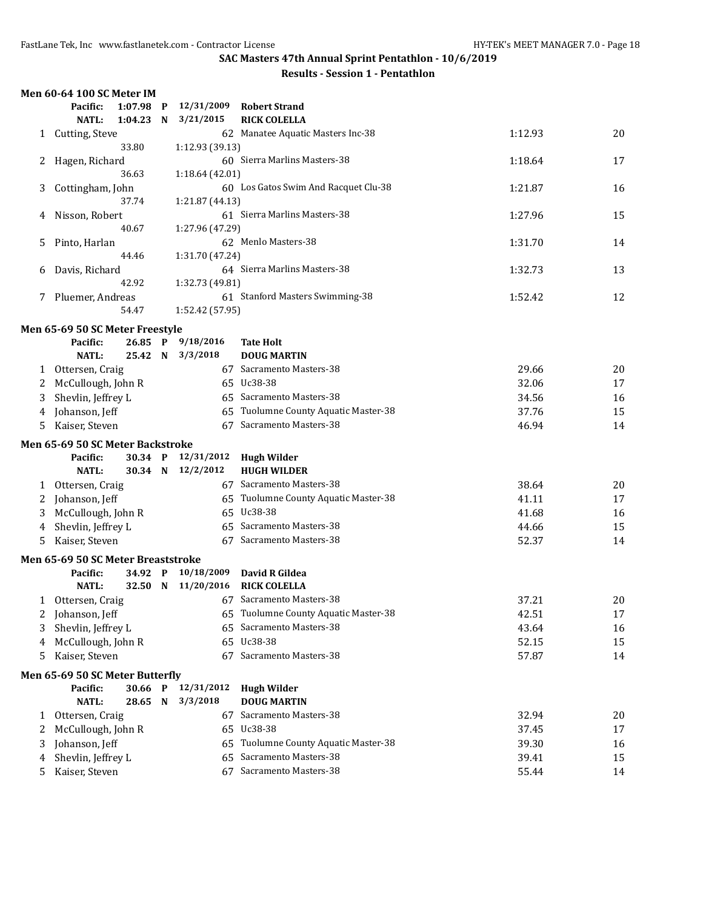| <b>Results - Session 1 - Pentathlon</b> |  |
|-----------------------------------------|--|
|-----------------------------------------|--|

|    | Men 60-64 100 SC Meter IM          |         |             |                    |                                      |         |    |
|----|------------------------------------|---------|-------------|--------------------|--------------------------------------|---------|----|
|    | Pacific:                           | 1:07.98 | $\mathbf P$ | 12/31/2009         | <b>Robert Strand</b>                 |         |    |
|    | <b>NATL:</b>                       | 1:04.23 | N           | 3/21/2015          | <b>RICK COLELLA</b>                  |         |    |
|    | 1 Cutting, Steve                   |         |             |                    | 62 Manatee Aquatic Masters Inc-38    | 1:12.93 | 20 |
|    |                                    | 33.80   |             | 1:12.93 (39.13)    |                                      |         |    |
| 2  | Hagen, Richard                     |         |             |                    | 60 Sierra Marlins Masters-38         | 1:18.64 | 17 |
|    |                                    | 36.63   |             | 1:18.64(42.01)     |                                      |         |    |
| 3  | Cottingham, John                   |         |             |                    | 60 Los Gatos Swim And Racquet Clu-38 | 1:21.87 | 16 |
|    |                                    | 37.74   |             | 1:21.87 (44.13)    |                                      |         |    |
| 4  | Nisson, Robert                     |         |             |                    | 61 Sierra Marlins Masters-38         | 1:27.96 | 15 |
|    |                                    | 40.67   |             | 1:27.96 (47.29)    |                                      |         |    |
| 5  | Pinto, Harlan                      |         |             |                    | 62 Menlo Masters-38                  | 1:31.70 | 14 |
|    |                                    | 44.46   |             | 1:31.70 (47.24)    |                                      |         |    |
| 6  | Davis, Richard                     |         |             |                    | 64 Sierra Marlins Masters-38         | 1:32.73 | 13 |
|    |                                    | 42.92   |             | 1:32.73 (49.81)    |                                      |         |    |
| 7  | Pluemer, Andreas                   |         |             |                    | 61 Stanford Masters Swimming-38      | 1:52.42 | 12 |
|    |                                    | 54.47   |             | 1:52.42 (57.95)    |                                      |         |    |
|    | Men 65-69 50 SC Meter Freestyle    |         |             |                    |                                      |         |    |
|    | Pacific:                           |         |             | 26.85 P 9/18/2016  | <b>Tate Holt</b>                     |         |    |
|    | <b>NATL:</b>                       | 25.42 N |             | 3/3/2018           | <b>DOUG MARTIN</b>                   |         |    |
| 1  | Ottersen, Craig                    |         |             |                    | 67 Sacramento Masters-38             | 29.66   | 20 |
| 2  | McCullough, John R                 |         |             |                    | 65 Uc38-38                           | 32.06   | 17 |
| 3  | Shevlin, Jeffrey L                 |         |             |                    | 65 Sacramento Masters-38             | 34.56   | 16 |
| 4  | Johanson, Jeff                     |         |             | 65                 | Tuolumne County Aquatic Master-38    | 37.76   | 15 |
| 5. | Kaiser, Steven                     |         |             |                    | 67 Sacramento Masters-38             | 46.94   | 14 |
|    | Men 65-69 50 SC Meter Backstroke   |         |             |                    |                                      |         |    |
|    | Pacific:                           |         |             | 30.34 P 12/31/2012 | <b>Hugh Wilder</b>                   |         |    |
|    | <b>NATL:</b>                       |         |             | 30.34 N 12/2/2012  | <b>HUGH WILDER</b>                   |         |    |
| 1  | Ottersen, Craig                    |         |             |                    | 67 Sacramento Masters-38             | 38.64   | 20 |
| 2  | Johanson, Jeff                     |         |             |                    | 65 Tuolumne County Aquatic Master-38 | 41.11   | 17 |
| 3  | McCullough, John R                 |         |             |                    | 65 Uc38-38                           | 41.68   | 16 |
| 4  | Shevlin, Jeffrey L                 |         |             |                    | 65 Sacramento Masters-38             | 44.66   | 15 |
| 5  | Kaiser, Steven                     |         |             |                    | 67 Sacramento Masters-38             | 52.37   | 14 |
|    | Men 65-69 50 SC Meter Breaststroke |         |             |                    |                                      |         |    |
|    | Pacific:                           | 34.92 P |             | 10/18/2009         | David R Gildea                       |         |    |
|    | <b>NATL:</b>                       |         |             | 32.50 N 11/20/2016 | <b>RICK COLELLA</b>                  |         |    |
|    | 1 Ottersen, Craig                  |         |             |                    | 67 Sacramento Masters-38             | 37.21   | 20 |
| 2  | Johanson, Jeff                     |         |             |                    | 65 Tuolumne County Aquatic Master-38 | 42.51   | 17 |
| 3  | Shevlin, Jeffrey L                 |         |             |                    | 65 Sacramento Masters-38             | 43.64   | 16 |
| 4  | McCullough, John R                 |         |             |                    | 65 Uc38-38                           | 52.15   | 15 |
| 5  | Kaiser, Steven                     |         |             |                    | 67 Sacramento Masters-38             | 57.87   | 14 |
|    | Men 65-69 50 SC Meter Butterfly    |         |             |                    |                                      |         |    |
|    | Pacific:                           | 30.66   | P           | 12/31/2012         | <b>Hugh Wilder</b>                   |         |    |
|    | <b>NATL:</b>                       | 28.65   | N           | 3/3/2018           | <b>DOUG MARTIN</b>                   |         |    |
| 1  | Ottersen, Craig                    |         |             |                    | 67 Sacramento Masters-38             | 32.94   | 20 |
| 2  | McCullough, John R                 |         |             | 65                 | Uc38-38                              | 37.45   | 17 |
| 3  | Johanson, Jeff                     |         |             | 65                 | Tuolumne County Aquatic Master-38    | 39.30   | 16 |
| 4  | Shevlin, Jeffrey L                 |         |             | 65                 | Sacramento Masters-38                | 39.41   | 15 |
| 5  | Kaiser, Steven                     |         |             |                    | 67 Sacramento Masters-38             | 55.44   | 14 |
|    |                                    |         |             |                    |                                      |         |    |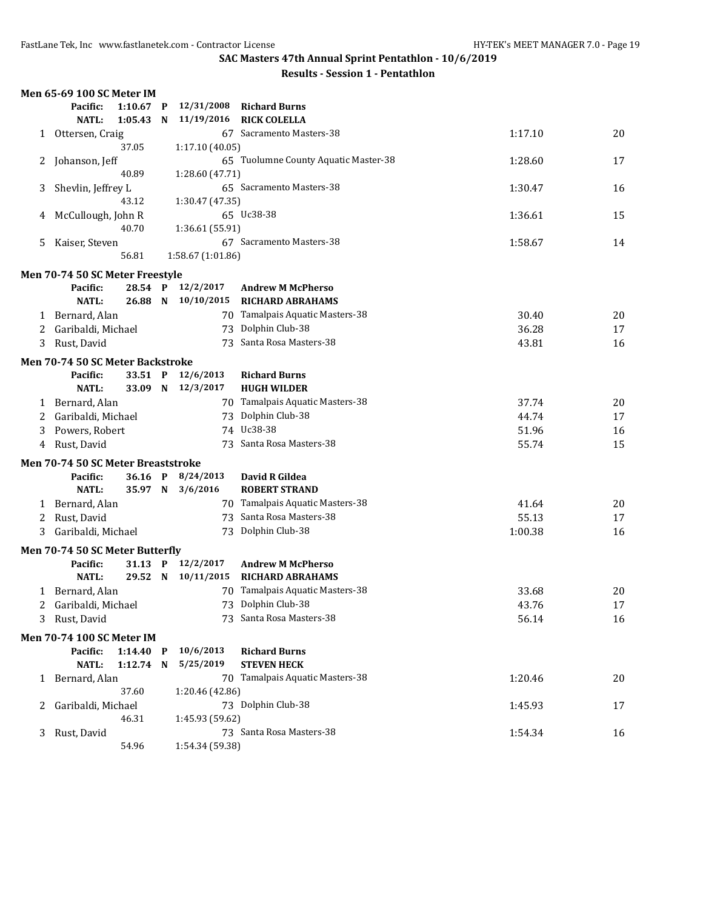|       | Men 65-69 100 SC Meter IM          |             |                 |                    |                                      |         |    |
|-------|------------------------------------|-------------|-----------------|--------------------|--------------------------------------|---------|----|
|       | Pacific:                           | $1:10.67$ P |                 | 12/31/2008         | <b>Richard Burns</b>                 |         |    |
|       | <b>NATL:</b>                       | 1:05.43     | N               | 11/19/2016         | <b>RICK COLELLA</b>                  |         |    |
| 1     | Ottersen, Craig                    |             |                 |                    | 67 Sacramento Masters-38             | 1:17.10 | 20 |
|       |                                    | 37.05       |                 | 1:17.10(40.05)     |                                      |         |    |
| 2     | Johanson, Jeff                     |             |                 |                    | 65 Tuolumne County Aquatic Master-38 | 1:28.60 | 17 |
| 40.89 |                                    |             | 1:28.60 (47.71) |                    |                                      |         |    |
| 3     | Shevlin, Jeffrey L                 |             |                 |                    | 65 Sacramento Masters-38             | 1:30.47 | 16 |
|       |                                    | 43.12       |                 | 1:30.47 (47.35)    |                                      |         |    |
| 4     | McCullough, John R                 |             |                 |                    | 65 Uc38-38                           | 1:36.61 | 15 |
|       |                                    | 40.70       |                 | 1:36.61 (55.91)    |                                      |         |    |
| 5     | Kaiser, Steven                     |             |                 |                    | 67 Sacramento Masters-38             | 1:58.67 | 14 |
|       |                                    | 56.81       |                 | 1:58.67 (1:01.86)  |                                      |         |    |
|       | Men 70-74 50 SC Meter Freestyle    |             |                 |                    |                                      |         |    |
|       | Pacific:                           |             |                 | 28.54 P 12/2/2017  | <b>Andrew M McPherso</b>             |         |    |
|       | <b>NATL:</b>                       |             |                 |                    | 26.88 N 10/10/2015 RICHARD ABRAHAMS  |         |    |
| 1     | Bernard, Alan                      |             |                 |                    | 70 Tamalpais Aquatic Masters-38      | 30.40   | 20 |
| 2     | Garibaldi, Michael                 |             |                 |                    | 73 Dolphin Club-38                   | 36.28   | 17 |
| 3     | Rust, David                        |             |                 |                    | 73 Santa Rosa Masters-38             | 43.81   | 16 |
|       | Men 70-74 50 SC Meter Backstroke   |             |                 |                    |                                      |         |    |
|       | Pacific:                           |             |                 | 33.51 P 12/6/2013  | <b>Richard Burns</b>                 |         |    |
|       | <b>NATL:</b>                       |             |                 | 33.09 N 12/3/2017  | <b>HUGH WILDER</b>                   |         |    |
|       | 1 Bernard, Alan                    |             |                 |                    | 70 Tamalpais Aquatic Masters-38      | 37.74   | 20 |
| 2     | Garibaldi, Michael                 |             |                 |                    | 73 Dolphin Club-38                   | 44.74   | 17 |
| 3     | Powers, Robert                     |             |                 |                    | 74 Uc38-38                           | 51.96   | 16 |
| 4     | Rust, David                        |             |                 |                    | 73 Santa Rosa Masters-38             | 55.74   | 15 |
|       | Men 70-74 50 SC Meter Breaststroke |             |                 |                    |                                      |         |    |
|       | Pacific:                           |             |                 | 36.16 P 8/24/2013  | David R Gildea                       |         |    |
|       | <b>NATL:</b>                       | 35.97 N     |                 | 3/6/2016           | <b>ROBERT STRAND</b>                 |         |    |
| 1     | Bernard, Alan                      |             |                 |                    | 70 Tamalpais Aquatic Masters-38      | 41.64   | 20 |
| 2     | Rust, David                        |             |                 |                    | 73 Santa Rosa Masters-38             | 55.13   | 17 |
| 3     | Garibaldi, Michael                 |             |                 |                    | 73 Dolphin Club-38                   | 1:00.38 | 16 |
|       | Men 70-74 50 SC Meter Butterfly    |             |                 |                    |                                      |         |    |
|       | Pacific:                           |             |                 | 31.13 P 12/2/2017  | <b>Andrew M McPherso</b>             |         |    |
|       | <b>NATL:</b>                       |             |                 | 29.52 N 10/11/2015 | <b>RICHARD ABRAHAMS</b>              |         |    |
|       | 1 Bernard, Alan                    |             |                 |                    | 70 Tamalpais Aquatic Masters-38      | 33.68   | 20 |
|       | 2 Garibaldi, Michael               |             |                 |                    | 73 Dolphin Club-38                   | 43.76   | 17 |
|       | Rust, David                        |             |                 |                    | 73 Santa Rosa Masters-38             | 56.14   | 16 |
|       | Men 70-74 100 SC Meter IM          |             |                 |                    |                                      |         |    |
|       | Pacific:                           | $1:14.40$ P |                 | 10/6/2013          | <b>Richard Burns</b>                 |         |    |
|       | <b>NATL:</b>                       | 1:12.74 N   |                 | 5/25/2019          | <b>STEVEN HECK</b>                   |         |    |
|       | 1 Bernard, Alan                    |             |                 |                    | 70 Tamalpais Aquatic Masters-38      | 1:20.46 | 20 |
|       |                                    | 37.60       |                 | 1:20.46 (42.86)    |                                      |         |    |
| 2     | Garibaldi, Michael                 |             |                 |                    | 73 Dolphin Club-38                   | 1:45.93 | 17 |
|       |                                    | 46.31       |                 | 1:45.93 (59.62)    |                                      |         |    |
| 3     | Rust, David                        |             |                 |                    | 73 Santa Rosa Masters-38             | 1:54.34 | 16 |
|       |                                    | 54.96       |                 | 1:54.34 (59.38)    |                                      |         |    |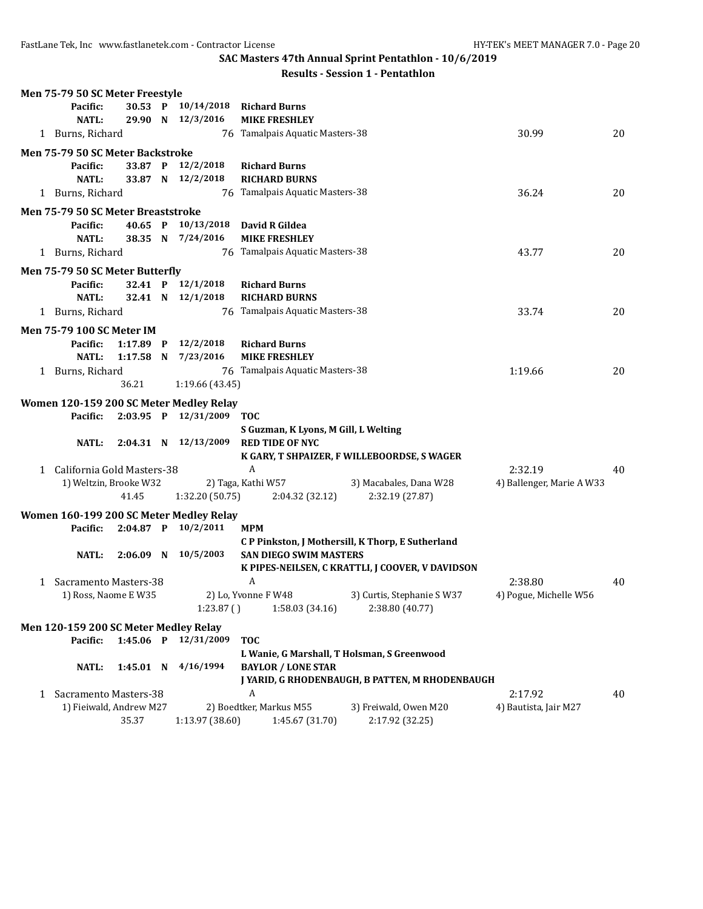FastLane Tek, Inc www.fastlanetek.com - Contractor License HY-TEK's MEET MANAGER 7.0 - Page 20

**SAC Masters 47th Annual Sprint Pentathlon - 10/6/2019**

|              | Men 75-79 50 SC Meter Freestyle       |             |                                         |                                             |                                                  |                           |    |
|--------------|---------------------------------------|-------------|-----------------------------------------|---------------------------------------------|--------------------------------------------------|---------------------------|----|
|              | Pacific:                              | 30.53 P     | 10/14/2018                              | <b>Richard Burns</b>                        |                                                  |                           |    |
|              | <b>NATL:</b>                          | 29.90 N     | 12/3/2016                               | <b>MIKE FRESHLEY</b>                        |                                                  |                           |    |
|              | 1 Burns, Richard                      |             |                                         | 76 Tamalpais Aquatic Masters-38             |                                                  | 30.99                     | 20 |
|              | Men 75-79 50 SC Meter Backstroke      |             |                                         |                                             |                                                  |                           |    |
|              | Pacific:                              | 33.87 P     | 12/2/2018                               | <b>Richard Burns</b>                        |                                                  |                           |    |
|              | <b>NATL:</b>                          | 33.87 N     | 12/2/2018                               | <b>RICHARD BURNS</b>                        |                                                  |                           |    |
|              | 1 Burns, Richard                      |             |                                         | 76 Tamalpais Aquatic Masters-38             |                                                  | 36.24                     | 20 |
|              | Men 75-79 50 SC Meter Breaststroke    |             |                                         |                                             |                                                  |                           |    |
|              | Pacific:                              | 40.65 P     | 10/13/2018                              | David R Gildea                              |                                                  |                           |    |
|              | <b>NATL:</b>                          | 38.35 N     | 7/24/2016                               | <b>MIKE FRESHLEY</b>                        |                                                  |                           |    |
|              | 1 Burns, Richard                      |             |                                         | 76 Tamalpais Aquatic Masters-38             |                                                  | 43.77                     | 20 |
|              | Men 75-79 50 SC Meter Butterfly       |             |                                         |                                             |                                                  |                           |    |
|              | Pacific:                              | 32.41 P     | 12/1/2018                               | <b>Richard Burns</b>                        |                                                  |                           |    |
|              | <b>NATL:</b>                          | 32.41 N     | 12/1/2018                               | <b>RICHARD BURNS</b>                        |                                                  |                           |    |
|              | 1 Burns, Richard                      |             |                                         | 76 Tamalpais Aquatic Masters-38             |                                                  | 33.74                     | 20 |
|              | <b>Men 75-79 100 SC Meter IM</b>      |             |                                         |                                             |                                                  |                           |    |
|              | Pacific:                              | $1:17.89$ P | 12/2/2018                               | <b>Richard Burns</b>                        |                                                  |                           |    |
|              | <b>NATL:</b>                          | $1:17.58$ N | 7/23/2016                               | <b>MIKE FRESHLEY</b>                        |                                                  |                           |    |
|              | 1 Burns, Richard                      |             |                                         | 76 Tamalpais Aquatic Masters-38             |                                                  | 1:19.66                   | 20 |
|              |                                       | 36.21       | 1:19.66 (43.45)                         |                                             |                                                  |                           |    |
|              |                                       |             | Women 120-159 200 SC Meter Medley Relay |                                             |                                                  |                           |    |
|              | Pacific:                              | $2:03.95$ P | 12/31/2009                              | <b>TOC</b>                                  |                                                  |                           |    |
|              |                                       |             |                                         | S Guzman, K Lyons, M Gill, L Welting        |                                                  |                           |    |
|              | <b>NATL:</b>                          |             | 2:04.31 N 12/13/2009                    | <b>RED TIDE OF NYC</b>                      |                                                  |                           |    |
|              |                                       |             |                                         |                                             | K GARY, T SHPAIZER, F WILLEBOORDSE, S WAGER      |                           |    |
| $\mathbf{1}$ | California Gold Masters-38            |             |                                         | A                                           |                                                  | 2:32.19                   | 40 |
|              | 1) Weltzin, Brooke W32                |             |                                         | 2) Taga, Kathi W57                          | 3) Macabales, Dana W28                           | 4) Ballenger, Marie A W33 |    |
|              |                                       | 41.45       | 1:32.20 (50.75)                         | 2:04.32 (32.12)                             | 2:32.19 (27.87)                                  |                           |    |
|              |                                       |             | Women 160-199 200 SC Meter Medley Relay |                                             |                                                  |                           |    |
|              | Pacific:                              | $2:04.87$ P | 10/2/2011                               | <b>MPM</b>                                  |                                                  |                           |    |
|              |                                       |             |                                         |                                             | CP Pinkston, J Mothersill, K Thorp, E Sutherland |                           |    |
|              | <b>NATL:</b>                          | $2:06.09$ N | 10/5/2003                               | <b>SAN DIEGO SWIM MASTERS</b>               |                                                  |                           |    |
|              |                                       |             |                                         |                                             | K PIPES-NEILSEN, C KRATTLI, J COOVER, V DAVIDSON |                           |    |
| 1            | Sacramento Masters-38                 |             |                                         | A                                           |                                                  | 2:38.80                   | 40 |
|              | 1) Ross, Naome E W35                  |             |                                         | 2) Lo, Yvonne F W48                         | 3) Curtis, Stephanie S W37                       | 4) Pogue, Michelle W56    |    |
|              |                                       |             | 1:23.87()                               | 1:58.03 (34.16)                             | 2:38.80 (40.77)                                  |                           |    |
|              | Men 120-159 200 SC Meter Medley Relay |             |                                         |                                             |                                                  |                           |    |
|              | Pacific:                              | 1:45.06 P   | 12/31/2009                              | <b>TOC</b>                                  |                                                  |                           |    |
|              |                                       |             |                                         | L Wanie, G Marshall, T Holsman, S Greenwood |                                                  |                           |    |
|              | <b>NATL:</b>                          | 1:45.01 N   | 4/16/1994                               | <b>BAYLOR / LONE STAR</b>                   |                                                  |                           |    |
|              |                                       |             |                                         |                                             | J YARID, G RHODENBAUGH, B PATTEN, M RHODENBAUGH  |                           |    |
|              | 1 Sacramento Masters-38               |             |                                         | A                                           |                                                  | 2:17.92                   | 40 |
|              | 1) Fieiwald, Andrew M27               |             |                                         | 2) Boedtker, Markus M55                     | 3) Freiwald, Owen M20                            | 4) Bautista, Jair M27     |    |
|              |                                       | 35.37       | 1:13.97 (38.60)                         | 1:45.67 (31.70)                             | 2:17.92 (32.25)                                  |                           |    |